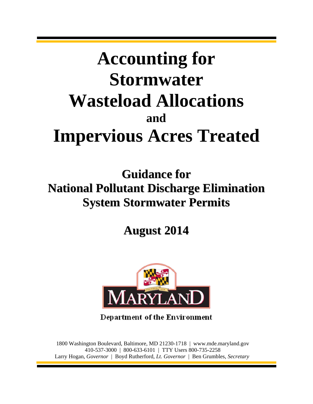# **Accounting for Stormwater Wasteload Allocations and Impervious Acres Treated**

**Guidance for National Pollutant Discharge Elimination System Stormwater Permits**

**August 2014**



**Department of the Environment** 

1800 Washington Boulevard, Baltimore, MD 21230-1718 | www.mde.maryland.gov 410-537-3000 | 800-633-6101 | TTY Users 800-735-2258 Larry Hogan, *Governor* | Boyd Rutherford, *Lt. Governor* | Ben Grumbles, *Secretary*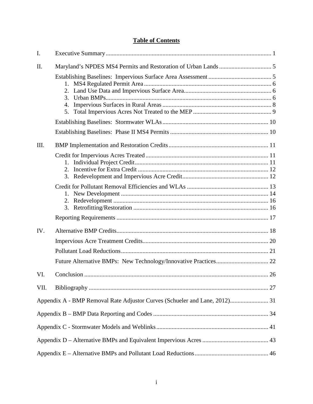# **Table of Contents**

| I.   |                                                                            |  |
|------|----------------------------------------------------------------------------|--|
| II.  |                                                                            |  |
|      | 2.<br>3.<br>4.<br>5.                                                       |  |
|      |                                                                            |  |
|      |                                                                            |  |
| III. |                                                                            |  |
|      | 2.<br>3.                                                                   |  |
|      | 1.<br>2.<br>3.                                                             |  |
|      |                                                                            |  |
| IV.  |                                                                            |  |
|      |                                                                            |  |
|      |                                                                            |  |
|      |                                                                            |  |
| VI.  |                                                                            |  |
| VII. |                                                                            |  |
|      | Appendix A - BMP Removal Rate Adjustor Curves (Schueler and Lane, 2012) 31 |  |
|      |                                                                            |  |
|      |                                                                            |  |
|      |                                                                            |  |
|      |                                                                            |  |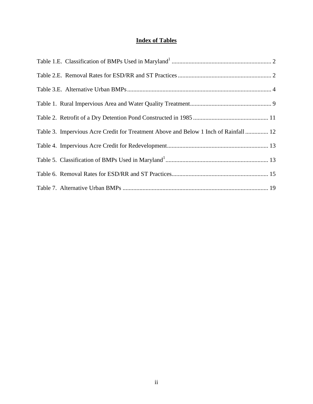# **Index of Tables**

| Table 3. Impervious Acre Credit for Treatment Above and Below 1 Inch of Rainfall  12 |  |
|--------------------------------------------------------------------------------------|--|
|                                                                                      |  |
|                                                                                      |  |
|                                                                                      |  |
|                                                                                      |  |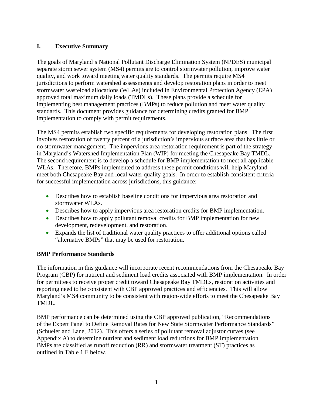# <span id="page-3-0"></span>**I. Executive Summary**

The goals of Maryland's National Pollutant Discharge Elimination System (NPDES) municipal separate storm sewer system (MS4) permits are to control stormwater pollution, improve water quality, and work toward meeting water quality standards. The permits require MS4 jurisdictions to perform watershed assessments and develop restoration plans in order to meet stormwater wasteload allocations (WLAs) included in Environmental Protection Agency (EPA) approved total maximum daily loads (TMDLs). These plans provide a schedule for implementing best management practices (BMPs) to reduce pollution and meet water quality standards. This document provides guidance for determining credits granted for BMP implementation to comply with permit requirements.

The MS4 permits establish two specific requirements for developing restoration plans. The first involves restoration of twenty percent of a jurisdiction's impervious surface area that has little or no stormwater management. The impervious area restoration requirement is part of the strategy in Maryland's Watershed Implementation Plan (WIP) for meeting the Chesapeake Bay TMDL. The second requirement is to develop a schedule for BMP implementation to meet all applicable WLAs. Therefore, BMPs implemented to address these permit conditions will help Maryland meet both Chesapeake Bay and local water quality goals. In order to establish consistent criteria for successful implementation across jurisdictions, this guidance:

- Describes how to establish baseline conditions for impervious area restoration and stormwater WLAs.
- Describes how to apply impervious area restoration credits for BMP implementation.
- Describes how to apply pollutant removal credits for BMP implementation for new development, redevelopment, and restoration.
- Expands the list of traditional water quality practices to offer additional options called "alternative BMPs" that may be used for restoration.

#### **BMP Performance Standards**

The information in this guidance will incorporate recent recommendations from the Chesapeake Bay Program (CBP) for nutrient and sediment load credits associated with BMP implementation. In order for permittees to receive proper credit toward Chesapeake Bay TMDLs, restoration activities and reporting need to be consistent with CBP approved practices and efficiencies. This will allow Maryland's MS4 community to be consistent with region-wide efforts to meet the Chesapeake Bay TMDL.

BMP performance can be determined using the CBP approved publication, "Recommendations of the Expert Panel to Define Removal Rates for New State Stormwater Performance Standards" (Schueler and Lane, 2012). This offers a series of pollutant removal adjustor curves (see Appendix A) to determine nutrient and sediment load reductions for BMP implementation. BMPs are classified as runoff reduction (RR) and stormwater treatment (ST) practices as outlined in Table 1.E below.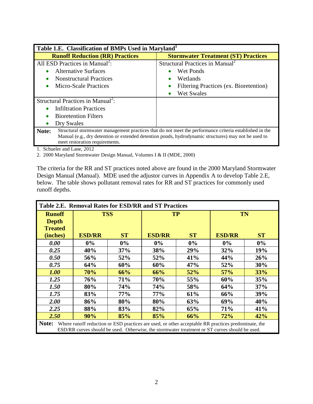<span id="page-4-0"></span>

| Table 1.E. Classification of BMPs Used in Maryland <sup>1</sup>                                      |                                                                                                         |  |  |  |  |
|------------------------------------------------------------------------------------------------------|---------------------------------------------------------------------------------------------------------|--|--|--|--|
| <b>Runoff Reduction (RR) Practices</b>                                                               | <b>Stormwater Treatment (ST) Practices</b>                                                              |  |  |  |  |
| All ESD Practices in Manual <sup>2</sup> :                                                           | Structural Practices in Manual <sup>2</sup>                                                             |  |  |  |  |
| <b>Alternative Surfaces</b>                                                                          | Wet Ponds                                                                                               |  |  |  |  |
| <b>Nonstructural Practices</b>                                                                       | Wetlands                                                                                                |  |  |  |  |
| <b>Micro-Scale Practices</b>                                                                         | Filtering Practices (ex. Bioretention)                                                                  |  |  |  |  |
|                                                                                                      | Wet Swales<br>$\bullet$                                                                                 |  |  |  |  |
| Structural Practices in Manual <sup>2</sup> :                                                        |                                                                                                         |  |  |  |  |
| <b>Infiltration Practices</b>                                                                        |                                                                                                         |  |  |  |  |
| <b>Bioretention Filters</b>                                                                          |                                                                                                         |  |  |  |  |
| Dry Swales                                                                                           |                                                                                                         |  |  |  |  |
| Note:                                                                                                | Structural stormwater management practices that do not meet the performance criteria established in the |  |  |  |  |
| Manual (e.g., dry detention or extended detention ponds, hydrodynamic structures) may not be used to |                                                                                                         |  |  |  |  |
| meet restoration requirements.                                                                       |                                                                                                         |  |  |  |  |

1. Schueler and Lane, 2012

2. 2000 Maryland Stormwater Design Manual, Volumes I & II (MDE, 2000)

The criteria for the RR and ST practices noted above are found in the 2000 Maryland Stormwater Design Manual (Manual). MDE used the adjustor curves in Appendix A to develop Table 2.E, below. The table shows pollutant removal rates for RR and ST practices for commonly used runoff depths.

<span id="page-4-1"></span>

| Table 2.E. Removal Rates for ESD/RR and ST Practices                                                                                                                                                           |               |           |               |           |               |           |  |
|----------------------------------------------------------------------------------------------------------------------------------------------------------------------------------------------------------------|---------------|-----------|---------------|-----------|---------------|-----------|--|
| <b>Runoff</b>                                                                                                                                                                                                  | <b>TSS</b>    |           | <b>TP</b>     |           | <b>TN</b>     |           |  |
| <b>Depth</b><br><b>Treated</b>                                                                                                                                                                                 |               |           |               |           |               |           |  |
| (inches)                                                                                                                                                                                                       | <b>ESD/RR</b> | <b>ST</b> | <b>ESD/RR</b> | <b>ST</b> | <b>ESD/RR</b> | <b>ST</b> |  |
| 0.00                                                                                                                                                                                                           | $0\%$         | $0\%$     | 0%            | $0\%$     | $0\%$         | $0\%$     |  |
| 0.25                                                                                                                                                                                                           | 40%           | 37%       | 38%           | 29%       | 32%           | 19%       |  |
| 0.50                                                                                                                                                                                                           | 56%           | 52%       | 52%           | 41%       | 44%           | 26%       |  |
| 0.75                                                                                                                                                                                                           | 64%           | 60%       | 60%           | 47%       | 52%           | 30%       |  |
| <b>1.00</b>                                                                                                                                                                                                    | 70%           | 66%       | 66%           | 52%       | 57%           | 33%       |  |
| 1.25                                                                                                                                                                                                           | 76%           | 71%       | 70%           | 55%       | 60%           | 35%       |  |
| 1.50                                                                                                                                                                                                           | 80%           | 74%       | 74%           | 58%       | 64%           | 37%       |  |
| 1.75                                                                                                                                                                                                           | 83%           | 77%       | 77%           | 61%       | 66%           | 39%       |  |
| 2.00                                                                                                                                                                                                           | 86%           | 80%       | 80%           | 63%       | 69%           | 40%       |  |
| 2.25                                                                                                                                                                                                           | 88%           | 83%       | 82%           | 65%       | 71%           | 41%       |  |
| 2.50<br>90%<br>85%<br>66%<br>72%<br>85%<br>42%                                                                                                                                                                 |               |           |               |           |               |           |  |
| Note:<br>Where runoff reduction or ESD practices are used, or other acceptable RR practices predominate, the<br>ESD/RR curves should be used. Otherwise, the stormwater treatment or ST curves should be used. |               |           |               |           |               |           |  |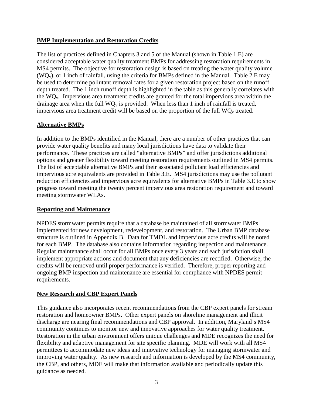#### **BMP Implementation and Restoration Credits**

The list of practices defined in Chapters 3 and 5 of the Manual (shown in Table 1.E) are considered acceptable water quality treatment BMPs for addressing restoration requirements in MS4 permits. The objective for restoration design is based on treating the water quality volume  $(WQ<sub>v</sub>)$ , or 1 inch of rainfall, using the criteria for BMPs defined in the Manual. Table 2.E may be used to determine pollutant removal rates for a given restoration project based on the runoff depth treated. The 1 inch runoff depth is highlighted in the table as this generally correlates with the  $WQ_v$ . Impervious area treatment credits are granted for the total impervious area within the drainage area when the full  $WQ_v$  is provided. When less than 1 inch of rainfall is treated, impervious area treatment credit will be based on the proportion of the full  $WQ_v$  treated.

#### **Alternative BMPs**

In addition to the BMPs identified in the Manual, there are a number of other practices that can provide water quality benefits and many local jurisdictions have data to validate their performance. These practices are called "alternative BMPs" and offer jurisdictions additional options and greater flexibility toward meeting restoration requirements outlined in MS4 permits. The list of acceptable alternative BMPs and their associated pollutant load efficiencies and impervious acre equivalents are provided in Table 3.E. MS4 jurisdictions may use the pollutant reduction efficiencies and impervious acre equivalents for alternative BMPs in Table 3.E to show progress toward meeting the twenty percent impervious area restoration requirement and toward meeting stormwater WLAs.

#### **Reporting and Maintenance**

NPDES stormwater permits require that a database be maintained of all stormwater BMPs implemented for new development, redevelopment, and restoration. The Urban BMP database structure is outlined in Appendix B. Data for TMDL and impervious acre credits will be noted for each BMP. The database also contains information regarding inspection and maintenance. Regular maintenance shall occur for all BMPs once every 3 years and each jurisdiction shall implement appropriate actions and document that any deficiencies are rectified. Otherwise, the credits will be removed until proper performance is verified. Therefore, proper reporting and ongoing BMP inspection and maintenance are essential for compliance with NPDES permit requirements.

#### **New Research and CBP Expert Panels**

This guidance also incorporates recent recommendations from the CBP expert panels for stream restoration and homeowner BMPs. Other expert panels on shoreline management and illicit discharge are nearing final recommendations and CBP approval. In addition, Maryland's MS4 community continues to monitor new and innovative approaches for water quality treatment. Restoration in the urban environment offers unique challenges and MDE recognizes the need for flexibility and adaptive management for site specific planning. MDE will work with all MS4 permittees to accommodate new ideas and innovative technology for managing stormwater and improving water quality. As new research and information is developed by the MS4 community, the CBP, and others, MDE will make that information available and periodically update this guidance as needed.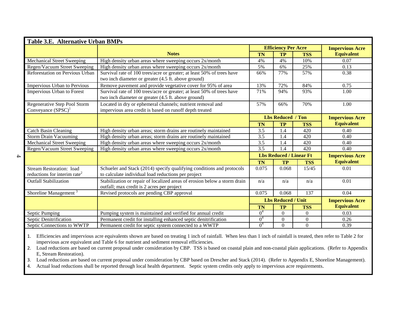| Table 3.E. Alternative Urban BMPs                                                       |                                                                                                                               |                                  |                          |                        |                        |  |  |
|-----------------------------------------------------------------------------------------|-------------------------------------------------------------------------------------------------------------------------------|----------------------------------|--------------------------|------------------------|------------------------|--|--|
|                                                                                         |                                                                                                                               | <b>Efficiency Per Acre</b>       |                          |                        | <b>Impervious Acre</b> |  |  |
|                                                                                         | <b>Notes</b>                                                                                                                  | <b>TN</b>                        | <b>TP</b>                | <b>TSS</b>             | <b>Equivalent</b>      |  |  |
| <b>Mechanical Street Sweeping</b>                                                       | High density urban areas where sweeping occurs 2x/month                                                                       | 4%                               | 4%                       | 10%                    | 0.07                   |  |  |
| Regen/Vacuum Street Sweeping                                                            | High density urban areas where sweeping occurs 2x/month                                                                       | 5%                               | 6%                       | 25%                    | 0.13                   |  |  |
| Reforestation on Pervious Urban                                                         | Survival rate of 100 trees/acre or greater; at least 50% of trees have<br>two inch diameter or greater (4.5 ft. above ground) | 66%                              | 77%                      | 57%                    | 0.38                   |  |  |
| <b>Impervious Urban to Pervious</b>                                                     | Remove pavement and provide vegetative cover for 95% of area                                                                  | 13%                              | 72%                      | 84%                    | 0.75                   |  |  |
| Impervious Urban to Forest                                                              | Survival rate of 100 trees/acre or greater; at least 50% of trees have<br>two inch diameter or greater (4.5 ft. above ground) | 71%                              | 94%                      | 93%                    | 1.00                   |  |  |
| Regenerative Step Pool Storm<br>Conveyance $(SPSC)^1$                                   | Located in dry or ephemeral channels; nutrient removal and<br>impervious area credit is based on runoff depth treated         | 57%                              | 66%                      | 70%                    | 1.00                   |  |  |
|                                                                                         |                                                                                                                               |                                  | <b>Lbs Reduced / Ton</b> |                        | <b>Impervious Acre</b> |  |  |
|                                                                                         |                                                                                                                               | <b>TN</b>                        | <b>TP</b>                | <b>TSS</b>             | <b>Equivalent</b>      |  |  |
| <b>Catch Basin Cleaning</b>                                                             | High density urban areas; storm drains are routinely maintained                                                               | 3.5                              | 1.4                      | 420                    | 0.40                   |  |  |
| <b>Storm Drain Vacuuming</b>                                                            | High density urban areas; storm drains are routinely maintained                                                               | 3.5                              | 1.4                      | 420                    | 0.40                   |  |  |
| <b>Mechanical Street Sweeping</b>                                                       | High density urban areas where sweeping occurs 2x/month                                                                       |                                  | 1.4                      | 420                    | 0.40                   |  |  |
| Regen/Vacuum Street Sweeping<br>High density urban areas where sweeping occurs 2x/month |                                                                                                                               | $\overline{3.5}$                 | 1.4                      | 420                    | 0.40                   |  |  |
|                                                                                         |                                                                                                                               | <b>Lbs Reduced / Linear Ft</b>   |                          | <b>Impervious Acre</b> |                        |  |  |
|                                                                                         |                                                                                                                               | <b>TN</b>                        | <b>TP</b>                | <b>TSS</b>             | <b>Equivalent</b>      |  |  |
| <b>Stream Restoration: load</b><br>reductions for interim rate <sup>2</sup>             | Schueler and Stack (2014) specify qualifying conditions and protocols<br>to calculate individual load reductions per project  | 0.075                            | 0.068                    | 15/45                  | 0.01                   |  |  |
| Outfall Stabilization                                                                   | Stabilization or repair of localized areas of erosion below a storm drain<br>outfall; max credit is 2 acres per project       |                                  | n/a                      | n/a                    | 0.01                   |  |  |
| Shoreline Management <sup>3</sup>                                                       | Revised protocols are pending CBP approval                                                                                    | 0.075                            | 0.068                    | 137                    | 0.04                   |  |  |
|                                                                                         |                                                                                                                               | <b>Lbs Reduced / Unit</b>        |                          | <b>Impervious Acre</b> |                        |  |  |
|                                                                                         |                                                                                                                               | <b>TN</b>                        | <b>TP</b>                | <b>TSS</b>             | <b>Equivalent</b>      |  |  |
| Septic Pumping                                                                          | Pumping system is maintained and verified for annual credit                                                                   | 0 <sup>4</sup>                   | $\Omega$                 | $\Omega$               | 0.03                   |  |  |
| Septic Denitrification                                                                  | Permanent credit for installing enhanced septic denitrification                                                               | 0 <sup>4</sup><br>0 <sup>4</sup> | $\Omega$                 | $\Omega$               | 0.26                   |  |  |
| Septic Connections to WWTP<br>Permanent credit for septic system connected to a WWTP    |                                                                                                                               |                                  | $\Omega$                 | $\Omega$               | 0.39                   |  |  |

1. Efficiencies and impervious acre equivalents shown are based on treating 1 inch of rainfall. When less than 1 inch of rainfall is treated, then refer to Table 2 for impervious acre equivalent and Table 6 for nutrient and sediment removal efficiencies.

2. Load reductions are based on current proposal under consideration by CBP. TSS is based on coastal plain and non-coastal plain applications. (Refer to Appendix E, Stream Restoration).

3. Load reductions are based on current proposal under consideration by CBP based on Drescher and Stack (2014). (Refer to Appendix E, Shoreline Management).

4. Actual load reductions shall be reported through local health department. Septic system credits only apply to impervious acre requirements.

<span id="page-6-0"></span> $\rightarrow$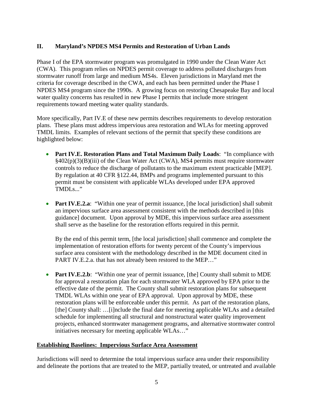# <span id="page-7-0"></span>**II. Maryland's NPDES MS4 Permits and Restoration of Urban Lands**

Phase I of the EPA stormwater program was promulgated in 1990 under the Clean Water Act (CWA). This program relies on NPDES permit coverage to address polluted discharges from stormwater runoff from large and medium MS4s. Eleven jurisdictions in Maryland met the criteria for coverage described in the CWA, and each has been permitted under the Phase I NPDES MS4 program since the 1990s. A growing focus on restoring Chesapeake Bay and local water quality concerns has resulted in new Phase I permits that include more stringent requirements toward meeting water quality standards.

More specifically, Part IV.E of these new permits describes requirements to develop restoration plans. These plans must address impervious area restoration and WLAs for meeting approved TMDL limits. Examples of relevant sections of the permit that specify these conditions are highlighted below:

- **Part IV.E. Restoration Plans and Total Maximum Daily Loads**: "In compliance with §402(p)(3)(B)(iii) of the Clean Water Act (CWA), MS4 permits must require stormwater controls to reduce the discharge of pollutants to the maximum extent practicable [MEP]. By regulation at 40 CFR §122.44, BMPs and programs implemented pursuant to this permit must be consistent with applicable WLAs developed under EPA approved TMDLs..."
- **Part IV.E.2.a**: "Within one year of permit issuance, [the local jurisdiction] shall submit an impervious surface area assessment consistent with the methods described in [this guidance] document. Upon approval by MDE, this impervious surface area assessment shall serve as the baseline for the restoration efforts required in this permit.

By the end of this permit term, [the local jurisdiction] shall commence and complete the implementation of restoration efforts for twenty percent of the County's impervious surface area consistent with the methodology described in the MDE document cited in PART IV.E.2.a. that has not already been restored to the MEP…"

• **Part IV.E.2.b**: "Within one year of permit issuance, [the] County shall submit to MDE for approval a restoration plan for each stormwater WLA approved by EPA prior to the effective date of the permit. The County shall submit restoration plans for subsequent TMDL WLAs within one year of EPA approval. Upon approval by MDE, these restoration plans will be enforceable under this permit. As part of the restoration plans, [the] County shall: ...[i]nclude the final date for meeting applicable WLAs and a detailed schedule for implementing all structural and nonstructural water quality improvement projects, enhanced stormwater management programs, and alternative stormwater control initiatives necessary for meeting applicable WLAs…"

#### <span id="page-7-1"></span>**Establishing Baselines: Impervious Surface Area Assessment**

Jurisdictions will need to determine the total impervious surface area under their responsibility and delineate the portions that are treated to the MEP, partially treated, or untreated and available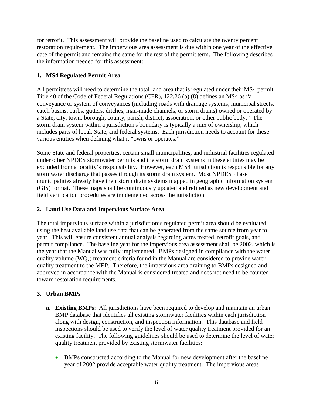for retrofit. This assessment will provide the baseline used to calculate the twenty percent restoration requirement. The impervious area assessment is due within one year of the effective date of the permit and remains the same for the rest of the permit term. The following describes the information needed for this assessment:

# <span id="page-8-0"></span>**1. MS4 Regulated Permit Area**

All permittees will need to determine the total land area that is regulated under their MS4 permit. Title 40 of the Code of Federal Regulations (CFR), 122.26 (b) (8) defines an MS4 as "a conveyance or system of conveyances (including roads with drainage systems, municipal streets, catch basins, curbs, gutters, ditches, man-made channels, or storm drains) owned or operated by a State, city, town, borough, county, parish, district, association, or other public body." The storm drain system within a jurisdiction's boundary is typically a mix of ownership, which includes parts of local, State, and federal systems. Each jurisdiction needs to account for these various entities when defining what it "owns or operates."

Some State and federal properties, certain small municipalities, and industrial facilities regulated under other NPDES stormwater permits and the storm drain systems in these entities may be excluded from a locality's responsibility. However, each MS4 jurisdiction is responsible for any stormwater discharge that passes through its storm drain system. Most NPDES Phase I municipalities already have their storm drain systems mapped in geographic information system (GIS) format. These maps shall be continuously updated and refined as new development and field verification procedures are implemented across the jurisdiction.

# <span id="page-8-1"></span>**2. Land Use Data and Impervious Surface Area**

The total impervious surface within a jurisdiction's regulated permit area should be evaluated using the best available land use data that can be generated from the same source from year to year. This will ensure consistent annual analysis regarding acres treated, retrofit goals, and permit compliance. The baseline year for the impervious area assessment shall be 2002, which is the year that the Manual was fully implemented. BMPs designed in compliance with the water quality volume ( $WQ_v$ ) treatment criteria found in the Manual are considered to provide water quality treatment to the MEP. Therefore, the impervious area draining to BMPs designed and approved in accordance with the Manual is considered treated and does not need to be counted toward restoration requirements.

# <span id="page-8-2"></span>**3. Urban BMPs**

- **a. Existing BMPs**: All jurisdictions have been required to develop and maintain an urban BMP database that identifies all existing stormwater facilities within each jurisdiction along with design, construction, and inspection information. This database and field inspections should be used to verify the level of water quality treatment provided for an existing facility. The following guidelines should be used to determine the level of water quality treatment provided by existing stormwater facilities:
	- BMPs constructed according to the Manual for new development after the baseline year of 2002 provide acceptable water quality treatment. The impervious areas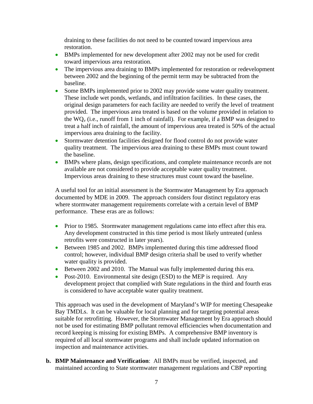draining to these facilities do not need to be counted toward impervious area restoration.

- BMPs implemented for new development after 2002 may not be used for credit toward impervious area restoration.
- The impervious area draining to BMPs implemented for restoration or redevelopment between 2002 and the beginning of the permit term may be subtracted from the baseline.
- Some BMPs implemented prior to 2002 may provide some water quality treatment. These include wet ponds, wetlands, and infiltration facilities. In these cases, the original design parameters for each facility are needed to verify the level of treatment provided. The impervious area treated is based on the volume provided in relation to the  $WQ_v$  (i.e., runoff from 1 inch of rainfall). For example, if a BMP was designed to treat a half inch of rainfall, the amount of impervious area treated is 50% of the actual impervious area draining to the facility.
- Stormwater detention facilities designed for flood control do not provide water quality treatment. The impervious area draining to these BMPs must count toward the baseline.
- BMPs where plans, design specifications, and complete maintenance records are not available are not considered to provide acceptable water quality treatment. Impervious areas draining to these structures must count toward the baseline.

A useful tool for an initial assessment is the Stormwater Management by Era approach documented by MDE in 2009. The approach considers four distinct regulatory eras where stormwater management requirements correlate with a certain level of BMP performance. These eras are as follows:

- Prior to 1985. Stormwater management regulations came into effect after this era. Any development constructed in this time period is most likely untreated (unless retrofits were constructed in later years).
- Between 1985 and 2002. BMPs implemented during this time addressed flood control; however, individual BMP design criteria shall be used to verify whether water quality is provided.
- Between 2002 and 2010. The Manual was fully implemented during this era.
- Post-2010. Environmental site design (ESD) to the MEP is required. Any development project that complied with State regulations in the third and fourth eras is considered to have acceptable water quality treatment.

This approach was used in the development of Maryland's WIP for meeting Chesapeake Bay TMDLs. It can be valuable for local planning and for targeting potential areas suitable for retrofitting. However, the Stormwater Management by Era approach should not be used for estimating BMP pollutant removal efficiencies when documentation and record keeping is missing for existing BMPs. A comprehensive BMP inventory is required of all local stormwater programs and shall include updated information on inspection and maintenance activities.

**b. BMP Maintenance and Verification**: All BMPs must be verified, inspected, and maintained according to State stormwater management regulations and CBP reporting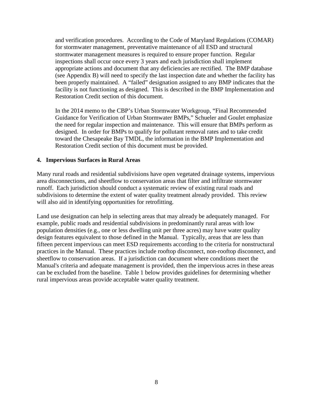and verification procedures. According to the Code of Maryland Regulations (COMAR) for stormwater management, preventative maintenance of all ESD and structural stormwater management measures is required to ensure proper function. Regular inspections shall occur once every 3 years and each jurisdiction shall implement appropriate actions and document that any deficiencies are rectified. The BMP database (see Appendix B) will need to specify the last inspection date and whether the facility has been properly maintained. A "failed" designation assigned to any BMP indicates that the facility is not functioning as designed. This is described in the BMP Implementation and Restoration Credit section of this document.

In the 2014 memo to the CBP's Urban Stormwater Workgroup, "Final Recommended Guidance for Verification of Urban Stormwater BMPs," Schueler and Goulet emphasize the need for regular inspection and maintenance. This will ensure that BMPs perform as designed. In order for BMPs to qualify for pollutant removal rates and to take credit toward the Chesapeake Bay TMDL, the information in the BMP Implementation and Restoration Credit section of this document must be provided.

#### <span id="page-10-0"></span>**4. Impervious Surfaces in Rural Areas**

Many rural roads and residential subdivisions have open vegetated drainage systems, impervious area disconnections, and sheetflow to conservation areas that filter and infiltrate stormwater runoff. Each jurisdiction should conduct a systematic review of existing rural roads and subdivisions to determine the extent of water quality treatment already provided. This review will also aid in identifying opportunities for retrofitting.

Land use designation can help in selecting areas that may already be adequately managed. For example, public roads and residential subdivisions in predominantly rural areas with low population densities (e.g., one or less dwelling unit per three acres) may have water quality design features equivalent to those defined in the Manual. Typically, areas that are less than fifteen percent impervious can meet ESD requirements according to the criteria for nonstructural practices in the Manual. These practices include rooftop disconnect, non-rooftop disconnect, and sheetflow to conservation areas. If a jurisdiction can document where conditions meet the Manual's criteria and adequate management is provided, then the impervious acres in these areas can be excluded from the baseline. Table 1 below provides guidelines for determining whether rural impervious areas provide acceptable water quality treatment.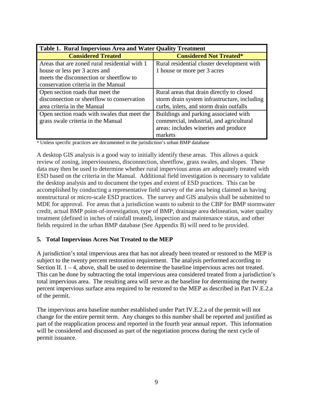<span id="page-11-1"></span>

| <b>Table 1. Rural Impervious Area and Water Quality Treatment</b> |                                              |  |  |  |  |
|-------------------------------------------------------------------|----------------------------------------------|--|--|--|--|
| <b>Considered Treated</b>                                         | <b>Considered Not Treated*</b>               |  |  |  |  |
| Areas that are zoned rural residential with 1                     | Rural residential cluster development with   |  |  |  |  |
| house or less per 3 acres and                                     | 1 house or more per 3 acres                  |  |  |  |  |
| meets the disconnection or sheetflow to                           |                                              |  |  |  |  |
| conservation criteria in the Manual                               |                                              |  |  |  |  |
| Open section roads that meet the                                  | Rural areas that drain directly to closed    |  |  |  |  |
| disconnection or sheetflow to conservation                        | storm drain system infrastructure, including |  |  |  |  |
| area criteria in the Manual                                       | curbs, inlets, and storm drain outfalls      |  |  |  |  |
| Open section roads with swales that meet the                      | Buildings and parking associated with        |  |  |  |  |
| grass swale criteria in the Manual                                | commercial, industrial, and agricultural     |  |  |  |  |
|                                                                   | areas: includes wineries and produce         |  |  |  |  |
|                                                                   | markets                                      |  |  |  |  |

\* Unless specific practices are documented in the jurisdiction's urban BMP database

A desktop GIS analysis is a good way to initially identify these areas. This allows a quick review of zoning, imperviousness, disconnection, sheetflow, grass swales, and slopes. These data may then be used to determine whether rural impervious areas are adequately treated with ESD based on the criteria in the Manual. Additional field investigation is necessary to validate the desktop analysis and to document the types and extent of ESD practices. This can be accomplished by conducting a representative field survey of the area being claimed as having nonstructural or micro-scale ESD practices. The survey and GIS analysis shall be submitted to MDE for approval. For areas that a jurisdiction wants to submit to the CBP for BMP stormwater credit, actual BMP point-of-investigation, type of BMP, drainage area delineation, water quality treatment (defined in inches of rainfall treated), inspection and maintenance status, and other fields required in the urban BMP database (See Appendix B) will need to be provided.

#### <span id="page-11-0"></span>**5. Total Impervious Acres Not Treated to the MEP**

A jurisdiction's total impervious area that has not already been treated or restored to the MEP is subject to the twenty percent restoration requirement. The analysis performed according to Section II.  $1 - 4$ , above, shall be used to determine the baseline impervious acres not treated. This can be done by subtracting the total impervious area considered treated from a jurisdiction's total impervious area. The resulting area will serve as the baseline for determining the twenty percent impervious surface area required to be restored to the MEP as described in Part IV.E.2.a of the permit.

The impervious area baseline number established under Part IV.E.2.a of the permit will not change for the entire permit term. Any changes to this number shall be reported and justified as part of the reapplication process and reported in the fourth year annual report. This information will be considered and discussed as part of the negotiation process during the next cycle of permit issuance.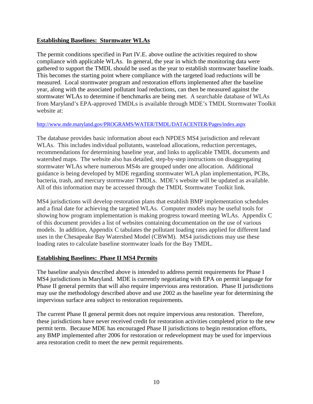#### <span id="page-12-0"></span>**Establishing Baselines: Stormwater WLAs**

The permit conditions specified in Part IV.E. above outline the activities required to show compliance with applicable WLAs. In general, the year in which the monitoring data were gathered to support the TMDL should be used as the year to establish stormwater baseline loads. This becomes the starting point where compliance with the targeted load reductions will be measured. Local stormwater program and restoration efforts implemented after the baseline year, along with the associated pollutant load reductions, can then be measured against the stormwater WLAs to determine if benchmarks are being met. A searchable database of WLAs from Maryland's EPA-approved TMDLs is available through MDE's TMDL Stormwater Toolkit website at:

#### <http://www.mde.maryland.gov/PROGRAMS/WATER/TMDL/DATACENTER/Pages/index.aspx>

The database provides basic information about each NPDES MS4 jurisdiction and relevant WLAs. This includes individual pollutants, wasteload allocations, reduction percentages, recommendations for determining baseline year, and links to applicable TMDL documents and watershed maps. The website also has detailed, step-by-step instructions on disaggregating stormwater WLAs where numerous MS4s are grouped under one allocation. Additional guidance is being developed by MDE regarding stormwater WLA plan implementation, PCBs, bacteria, trash, and mercury stormwater TMDLs. MDE's website will be updated as available. All of this information may be accessed through the TMDL Stormwater Toolkit link.

MS4 jurisdictions will develop restoration plans that establish BMP implementation schedules and a final date for achieving the targeted WLAs. Computer models may be useful tools for showing how program implementation is making progress toward meeting WLAs. Appendix C of this document provides a list of websites containing documentation on the use of various models. In addition, Appendix C tabulates the pollutant loading rates applied for different land uses in the Chesapeake Bay Watershed Model (CBWM). MS4 jurisdictions may use these loading rates to calculate baseline stormwater loads for the Bay TMDL.

#### <span id="page-12-1"></span>**Establishing Baselines: Phase II MS4 Permits**

The baseline analysis described above is intended to address permit requirements for Phase I MS4 jurisdictions in Maryland. MDE is currently negotiating with EPA on permit language for Phase II general permits that will also require impervious area restoration. Phase II jurisdictions may use the methodology described above and use 2002 as the baseline year for determining the impervious surface area subject to restoration requirements.

The current Phase II general permit does not require impervious area restoration. Therefore, these jurisdictions have never received credit for restoration activities completed prior to the new permit term. Because MDE has encouraged Phase II jurisdictions to begin restoration efforts, any BMP implemented after 2006 for restoration or redevelopment may be used for impervious area restoration credit to meet the new permit requirements.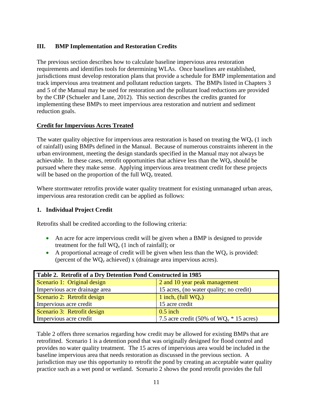# <span id="page-13-0"></span>**III. BMP Implementation and Restoration Credits**

The previous section describes how to calculate baseline impervious area restoration requirements and identifies tools for determining WLAs. Once baselines are established, jurisdictions must develop restoration plans that provide a schedule for BMP implementation and track impervious area treatment and pollutant reduction targets. The BMPs listed in Chapters 3 and 5 of the Manual may be used for restoration and the pollutant load reductions are provided by the CBP (Schueler and Lane, 2012). This section describes the credits granted for implementing these BMPs to meet impervious area restoration and nutrient and sediment reduction goals.

# <span id="page-13-1"></span>**Credit for Impervious Acres Treated**

The water quality objective for impervious area restoration is based on treating the  $WQ_v$  (1 inch of rainfall) using BMPs defined in the Manual. Because of numerous constraints inherent in the urban environment, meeting the design standards specified in the Manual may not always be achievable. In these cases, retrofit opportunities that achieve less than the  $WQ_v$  should be pursued where they make sense. Applying impervious area treatment credit for these projects will be based on the proportion of the full  $WO<sub>v</sub>$  treated.

Where stormwater retrofits provide water quality treatment for existing unmanaged urban areas, impervious area restoration credit can be applied as follows:

#### <span id="page-13-2"></span>**1. Individual Project Credit**

Retrofits shall be credited according to the following criteria:

- An acre for acre impervious credit will be given when a BMP is designed to provide treatment for the full  $WQ_v$  (1 inch of rainfall); or
- A proportional acreage of credit will be given when less than the  $WQ_v$  is provided: (percent of the  $WQ_v$  achieved) x (drainage area impervious acres).

<span id="page-13-3"></span>

| Table 2. Retrofit of a Dry Detention Pond Constructed in 1985 |                                            |  |  |  |
|---------------------------------------------------------------|--------------------------------------------|--|--|--|
| Scenario 1: Original design                                   | 2 and 10 year peak management              |  |  |  |
| Impervious acre drainage area                                 | 15 acres, (no water quality; no credit)    |  |  |  |
| Scenario 2: Retrofit design                                   | 1 inch, (full $WQ_v$ )                     |  |  |  |
| Impervious acre credit                                        | 15 acre credit                             |  |  |  |
| Scenario 3: Retrofit design                                   | $0.5$ inch                                 |  |  |  |
| Impervious acre credit                                        | 7.5 acre credit (50% of $WQ_v * 15$ acres) |  |  |  |

Table 2 offers three scenarios regarding how credit may be allowed for existing BMPs that are retrofitted. Scenario 1 is a detention pond that was originally designed for flood control and provides no water quality treatment. The 15 acres of impervious area would be included in the baseline impervious area that needs restoration as discussed in the previous section. A jurisdiction may use this opportunity to retrofit the pond by creating an acceptable water quality practice such as a wet pond or wetland. Scenario 2 shows the pond retrofit provides the full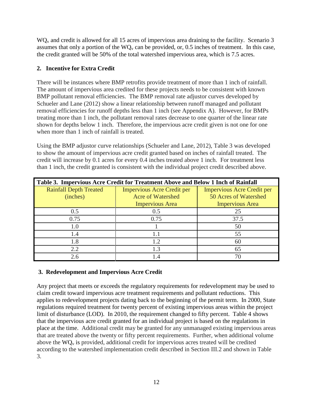WQ<sub>v</sub> and credit is allowed for all 15 acres of impervious area draining to the facility. Scenario 3 assumes that only a portion of the  $WQ_v$  can be provided, or, 0.5 inches of treatment. In this case, the credit granted will be 50% of the total watershed impervious area, which is 7.5 acres.

# <span id="page-14-0"></span>**2. Incentive for Extra Credit**

There will be instances where BMP retrofits provide treatment of more than 1 inch of rainfall. The amount of impervious area credited for these projects needs to be consistent with known BMP pollutant removal efficiencies. The BMP removal rate adjustor curves developed by Schueler and Lane (2012) show a linear relationship between runoff managed and pollutant removal efficiencies for runoff depths less than 1 inch (see Appendix A). However, for BMPs treating more than 1 inch, the pollutant removal rates decrease to one quarter of the linear rate shown for depths below 1 inch. Therefore, the impervious acre credit given is not one for one when more than 1 inch of rainfall is treated.

Using the BMP adjustor curve relationships (Schueler and Lane, 2012), Table 3 was developed to show the amount of impervious acre credit granted based on inches of rainfall treated. The credit will increase by 0.1 acres for every 0.4 inches treated above 1 inch. For treatment less than 1 inch, the credit granted is consistent with the individual project credit described above.

<span id="page-14-2"></span>

| Table 3. Impervious Acre Credit for Treatment Above and Below 1 Inch of Rainfall |                                   |                                   |  |  |  |  |
|----------------------------------------------------------------------------------|-----------------------------------|-----------------------------------|--|--|--|--|
| <b>Rainfall Depth Treated</b>                                                    | <b>Impervious Acre Credit per</b> | <b>Impervious Acre Credit per</b> |  |  |  |  |
| (inches)                                                                         | <b>Acre of Watershed</b>          | 50 Acres of Watershed             |  |  |  |  |
|                                                                                  | <b>Impervious Area</b>            | <b>Impervious Area</b>            |  |  |  |  |
| 0.5                                                                              | 0.5                               | 25                                |  |  |  |  |
| 0.75                                                                             | 0.75                              | 37.5                              |  |  |  |  |
| 1.0                                                                              |                                   | 50                                |  |  |  |  |
| 1.4                                                                              | 1.1                               | 55                                |  |  |  |  |
| 1.8                                                                              | 1.2                               | 60                                |  |  |  |  |
| 2.2                                                                              | 1.3                               | 65                                |  |  |  |  |
| 2.6                                                                              | $\overline{4}$                    | 70                                |  |  |  |  |

# <span id="page-14-1"></span>**3. Redevelopment and Impervious Acre Credit**

Any project that meets or exceeds the regulatory requirements for redevelopment may be used to claim credit toward impervious acre treatment requirements and pollutant reductions. This applies to redevelopment projects dating back to the beginning of the permit term. In 2000, State regulations required treatment for twenty percent of existing impervious areas within the project limit of disturbance (LOD). In 2010, the requirement changed to fifty percent. Table 4 shows that the impervious acre credit granted for an individual project is based on the regulations in place at the time. Additional credit may be granted for any unmanaged existing impervious areas that are treated above the twenty or fifty percent requirements. Further, when additional volume above the  $WQ_v$  is provided, additional credit for impervious acres treated will be credited according to the watershed implementation credit described in Section III.2 and shown in Table 3.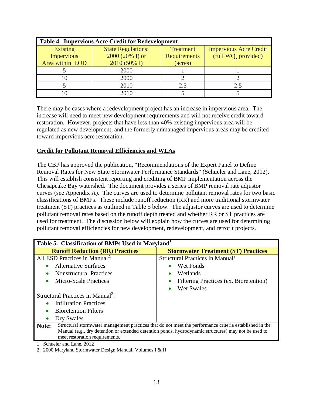<span id="page-15-1"></span>

| <b>Table 4. Impervious Acre Credit for Redevelopment</b> |                           |                  |                               |  |  |  |  |
|----------------------------------------------------------|---------------------------|------------------|-------------------------------|--|--|--|--|
| Existing                                                 | <b>State Regulations:</b> | <b>Treatment</b> | <b>Impervious Acre Credit</b> |  |  |  |  |
| Impervious                                               | 2000 (20% I) or           | Requirements     | (full $WQ_v$ provided)        |  |  |  |  |
| Area within LOD                                          | 2010 (50% I)              | (acres)          |                               |  |  |  |  |
|                                                          | 2000                      |                  |                               |  |  |  |  |
|                                                          | 2000                      |                  |                               |  |  |  |  |
|                                                          | 2010                      | 2.5              | 2.5                           |  |  |  |  |
|                                                          | 2010                      |                  |                               |  |  |  |  |

There may be cases where a redevelopment project has an increase in impervious area. The increase will need to meet new development requirements and will not receive credit toward restoration. However, projects that have less than 40% existing impervious area will be regulated as new development, and the formerly unmanaged impervious areas may be credited toward impervious acre restoration.

#### <span id="page-15-0"></span>**Credit for Pollutant Removal Efficiencies and WLAs**

The CBP has approved the publication, "Recommendations of the Expert Panel to Define Removal Rates for New State Stormwater Performance Standards" (Schueler and Lane, 2012). This will establish consistent reporting and crediting of BMP implementation across the Chesapeake Bay watershed. The document provides a series of BMP removal rate adjustor curves (see Appendix A). The curves are used to determine pollutant removal rates for two basic classifications of BMPs. These include runoff reduction (RR) and more traditional stormwater treatment (ST) practices as outlined in Table 5 below. The adjustor curves are used to determine pollutant removal rates based on the runoff depth treated and whether RR or ST practices are used for treatment. The discussion below will explain how the curves are used for determining pollutant removal efficiencies for new development, redevelopment, and retrofit projects.

<span id="page-15-2"></span>

| Table 5. Classification of BMPs Used in Maryland <sup>1</sup>                                                                          |                                                                                                         |  |  |  |
|----------------------------------------------------------------------------------------------------------------------------------------|---------------------------------------------------------------------------------------------------------|--|--|--|
| <b>Runoff Reduction (RR) Practices</b>                                                                                                 | <b>Stormwater Treatment (ST) Practices</b>                                                              |  |  |  |
| All ESD Practices in Manual <sup>2</sup> :                                                                                             | Structural Practices in Manual <sup>2</sup>                                                             |  |  |  |
| <b>Alternative Surfaces</b>                                                                                                            | Wet Ponds                                                                                               |  |  |  |
| <b>Nonstructural Practices</b>                                                                                                         | Wetlands<br>$\bullet$                                                                                   |  |  |  |
| Micro-Scale Practices                                                                                                                  | Filtering Practices (ex. Bioretention)<br>$\bullet$                                                     |  |  |  |
|                                                                                                                                        | Wet Swales                                                                                              |  |  |  |
| Structural Practices in Manual <sup>2</sup> :                                                                                          |                                                                                                         |  |  |  |
| <b>Infiltration Practices</b>                                                                                                          |                                                                                                         |  |  |  |
| <b>Bioretention Filters</b>                                                                                                            |                                                                                                         |  |  |  |
| Dry Swales                                                                                                                             |                                                                                                         |  |  |  |
| Note:                                                                                                                                  | Structural stormwater management practices that do not meet the performance criteria established in the |  |  |  |
| Manual (e.g., dry detention or extended detention ponds, hydrodynamic structures) may not be used to<br>meet restoration requirements. |                                                                                                         |  |  |  |
| Cohuglet and Lang 2012                                                                                                                 |                                                                                                         |  |  |  |

1. Schueler and Lane, 2012

2. 2000 Maryland Stormwater Design Manual, Volumes I & II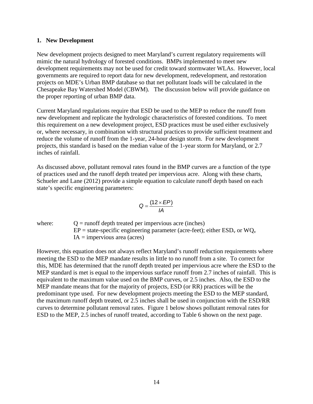#### <span id="page-16-0"></span>**1. New Development**

New development projects designed to meet Maryland's current regulatory requirements will mimic the natural hydrology of forested conditions. BMPs implemented to meet new development requirements may not be used for credit toward stormwater WLAs. However, local governments are required to report data for new development, redevelopment, and restoration projects on MDE's Urban BMP database so that net pollutant loads will be calculated in the Chesapeake Bay Watershed Model (CBWM). The discussion below will provide guidance on the proper reporting of urban BMP data.

Current Maryland regulations require that ESD be used to the MEP to reduce the runoff from new development and replicate the hydrologic characteristics of forested conditions. To meet this requirement on a new development project, ESD practices must be used either exclusively or, where necessary, in combination with structural practices to provide sufficient treatment and reduce the volume of runoff from the 1-year, 24-hour design storm. For new development projects, this standard is based on the median value of the 1-year storm for Maryland, or 2.7 inches of rainfall.

As discussed above, pollutant removal rates found in the BMP curves are a function of the type of practices used and the runoff depth treated per impervious acre. Along with these charts, Schueler and Lane (2012) provide a simple equation to calculate runoff depth based on each state's specific engineering parameters:

$$
Q=\frac{(12\times EP)}{IA}
$$

where:  $Q = \text{runoff depth treated per impervious acre (inches)}$  $EP = state-specific engineering parameter (acre-feet); either ESD<sub>v</sub> or WO<sub>v</sub>$  $IA =$  impervious area (acres)

However, this equation does not always reflect Maryland's runoff reduction requirements where meeting the ESD to the MEP mandate results in little to no runoff from a site. To correct for this, MDE has determined that the runoff depth treated per impervious acre where the ESD to the MEP standard is met is equal to the impervious surface runoff from 2.7 inches of rainfall. This is equivalent to the maximum value used on the BMP curves, or 2.5 inches. Also, the ESD to the MEP mandate means that for the majority of projects, ESD (or RR) practices will be the predominant type used. For new development projects meeting the ESD to the MEP standard, the maximum runoff depth treated, or 2.5 inches shall be used in conjunction with the ESD/RR curves to determine pollutant removal rates. Figure 1 below shows pollutant removal rates for ESD to the MEP, 2.5 inches of runoff treated, according to Table 6 shown on the next page.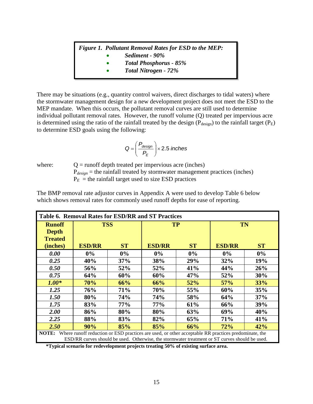# *Figure 1. Pollutant Removal Rates for ESD to the MEP:*

- *Sediment - 90%*
- *Total Phosphorus - 85%*
- *Total Nitrogen - 72%*

There may be situations (e.g., quantity control waivers, direct discharges to tidal waters) where the stormwater management design for a new development project does not meet the ESD to the MEP mandate. When this occurs, the pollutant removal curves are still used to determine individual pollutant removal rates. However, the runoff volume (Q) treated per impervious acre is determined using the ratio of the rainfall treated by the design ( $P_{\text{design}}$ ) to the rainfall target ( $P_{\text{E}}$ ) to determine ESD goals using the following:

$$
Q = \left(\frac{P_{design}}{P_E}\right) \times 2.5 \text{ inches}
$$

where:  $Q = \text{runoff depth treated per impervious acre (inches)}$  $P_{design}$  = the rainfall treated by stormwater management practices (inches)  $P_E$  = the rainfall target used to size ESD practices

| The BMP removal rate adjustor curves in Appendix A were used to develop Table 6 below |
|---------------------------------------------------------------------------------------|
| which shows removal rates for commonly used runoff depths for ease of reporting.      |

<span id="page-17-0"></span>

| Table 6. Removal Rates for ESD/RR and ST Practices                                                                                                                                                                    |               |            |               |           |               |           |  |
|-----------------------------------------------------------------------------------------------------------------------------------------------------------------------------------------------------------------------|---------------|------------|---------------|-----------|---------------|-----------|--|
| <b>Runoff</b>                                                                                                                                                                                                         | <b>TSS</b>    |            | <b>TP</b>     |           | TN            |           |  |
| <b>Depth</b>                                                                                                                                                                                                          |               |            |               |           |               |           |  |
| <b>Treated</b>                                                                                                                                                                                                        |               |            |               |           |               |           |  |
| (inches)                                                                                                                                                                                                              | <b>ESD/RR</b> | <b>ST</b>  | <b>ESD/RR</b> | <b>ST</b> | <b>ESD/RR</b> | <b>ST</b> |  |
| 0.00                                                                                                                                                                                                                  | $0\%$         | $0\%$      | $0\%$         | $0\%$     | $0\%$         | $0\%$     |  |
| 0.25                                                                                                                                                                                                                  | 40%           | 37%        | 38%           | 29%       | 32%           | 19%       |  |
| 0.50                                                                                                                                                                                                                  | 56%           | 52%        | 52%           | 41%       | 44%           | 26%       |  |
| 0.75                                                                                                                                                                                                                  | 64%           | 60%        | 60%           | 47%       | 52%           | 30%       |  |
| $1.00*$                                                                                                                                                                                                               | 70%           | 66%        | 66%           | 52%       | 57%           | 33%       |  |
| 1.25                                                                                                                                                                                                                  | 76%           | <b>71%</b> | 70%           | 55%       | 60%           | 35%       |  |
| 1.50                                                                                                                                                                                                                  | 80%           | 74%        | 74%           | 58%       | 64%           | 37%       |  |
| 1.75                                                                                                                                                                                                                  | 83%           | 77%        | 77%           | 61%       | 66%           | 39%       |  |
| 2.00                                                                                                                                                                                                                  | 86%           | 80%        | 80%           | 63%       | 69%           | 40%       |  |
| 2.25                                                                                                                                                                                                                  | 88%           | 83%        | 82%           | 65%       | 71%           | 41%       |  |
| 2.50                                                                                                                                                                                                                  | 90%           | 85%        | 85%           | 66%       | 72%           | 42%       |  |
| <b>NOTE:</b><br>Where runoff reduction or ESD practices are used, or other acceptable RR practices predominate, the<br>ESD/RR curves should be used. Otherwise, the stormwater treatment or ST curves should be used. |               |            |               |           |               |           |  |
|                                                                                                                                                                                                                       |               |            |               |           |               |           |  |

**\*Typical scenario for redevelopment projects treating 50% of existing surface area.**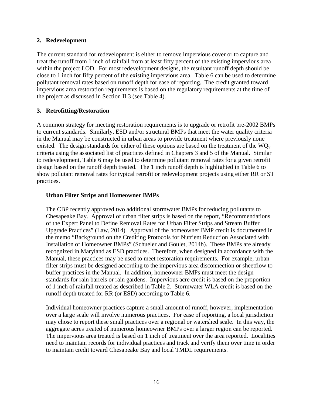#### <span id="page-18-0"></span>**2. Redevelopment**

The current standard for redevelopment is either to remove impervious cover or to capture and treat the runoff from 1 inch of rainfall from at least fifty percent of the existing impervious area within the project LOD. For most redevelopment designs, the resultant runoff depth should be close to 1 inch for fifty percent of the existing impervious area. Table 6 can be used to determine pollutant removal rates based on runoff depth for ease of reporting. The credit granted toward impervious area restoration requirements is based on the regulatory requirements at the time of the project as discussed in Section II.3 (see Table 4).

#### <span id="page-18-1"></span>**3. Retrofitting/Restoration**

A common strategy for meeting restoration requirements is to upgrade or retrofit pre-2002 BMPs to current standards. Similarly, ESD and/or structural BMPs that meet the water quality criteria in the Manual may be constructed in urban areas to provide treatment where previously none existed. The design standards for either of these options are based on the treatment of the  $WQ_v$ criteria using the associated list of practices defined in Chapters 3 and 5 of the Manual. Similar to redevelopment, Table 6 may be used to determine pollutant removal rates for a given retrofit design based on the runoff depth treated. The 1 inch runoff depth is highlighted in Table 6 to show pollutant removal rates for typical retrofit or redevelopment projects using either RR or ST practices.

#### **Urban Filter Strips and Homeowner BMPs**

The CBP recently approved two additional stormwater BMPs for reducing pollutants to Chesapeake Bay. Approval of urban filter strips is based on the report, "Recommendations of the Expert Panel to Define Removal Rates for Urban Filter Strips and Stream Buffer Upgrade Practices" (Law, 2014). Approval of the homeowner BMP credit is documented in the memo "Background on the Crediting Protocols for Nutrient Reduction Associated with Installation of Homeowner BMPs" (Schueler and Goulet, 2014b). These BMPs are already recognized in Maryland as ESD practices. Therefore, when designed in accordance with the Manual, these practices may be used to meet restoration requirements. For example, urban filter strips must be designed according to the impervious area disconnection or sheetflow to buffer practices in the Manual. In addition, homeowner BMPs must meet the design standards for rain barrels or rain gardens. Impervious acre credit is based on the proportion of 1 inch of rainfall treated as described in Table 2. Stormwater WLA credit is based on the runoff depth treated for RR (or ESD) according to Table 6.

Individual homeowner practices capture a small amount of runoff, however, implementation over a large scale will involve numerous practices. For ease of reporting, a local jurisdiction may chose to report these small practices over a regional or watershed scale. In this way, the aggregate acres treated of numerous homeowner BMPs over a larger region can be reported. The impervious area treated is based on 1 inch of treatment over the area reported. Localities need to maintain records for individual practices and track and verify them over time in order to maintain credit toward Chesapeake Bay and local TMDL requirements.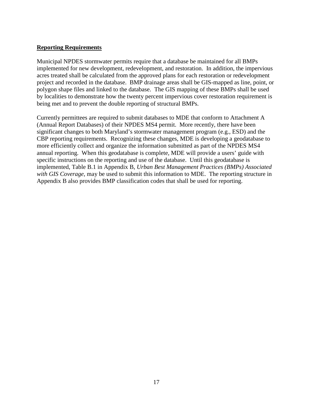#### <span id="page-19-0"></span>**Reporting Requirements**

Municipal NPDES stormwater permits require that a database be maintained for all BMPs implemented for new development, redevelopment, and restoration. In addition, the impervious acres treated shall be calculated from the approved plans for each restoration or redevelopment project and recorded in the database. BMP drainage areas shall be GIS-mapped as line, point, or polygon shape files and linked to the database. The GIS mapping of these BMPs shall be used by localities to demonstrate how the twenty percent impervious cover restoration requirement is being met and to prevent the double reporting of structural BMPs.

Currently permittees are required to submit databases to MDE that conform to Attachment A (Annual Report Databases) of their NPDES MS4 permit. More recently, there have been significant changes to both Maryland's stormwater management program (e.g., ESD) and the CBP reporting requirements. Recognizing these changes, MDE is developing a geodatabase to more efficiently collect and organize the information submitted as part of the NPDES MS4 annual reporting. When this geodatabase is complete, MDE will provide a users' guide with specific instructions on the reporting and use of the database. Until this geodatabase is implemented, Table B.1 in Appendix B, *Urban Best Management Practices (BMPs) Associated with GIS Coverage*, may be used to submit this information to MDE. The reporting structure in Appendix B also provides BMP classification codes that shall be used for reporting.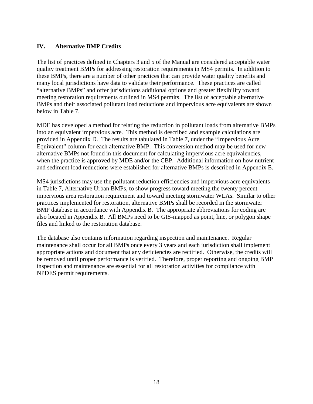# <span id="page-20-0"></span>**IV. Alternative BMP Credits**

The list of practices defined in Chapters 3 and 5 of the Manual are considered acceptable water quality treatment BMPs for addressing restoration requirements in MS4 permits. In addition to these BMPs, there are a number of other practices that can provide water quality benefits and many local jurisdictions have data to validate their performance. These practices are called "alternative BMPs" and offer jurisdictions additional options and greater flexibility toward meeting restoration requirements outlined in MS4 permits. The list of acceptable alternative BMPs and their associated pollutant load reductions and impervious acre equivalents are shown below in Table 7.

MDE has developed a method for relating the reduction in pollutant loads from alternative BMPs into an equivalent impervious acre. This method is described and example calculations are provided in Appendix D. The results are tabulated in Table 7, under the "Impervious Acre Equivalent" column for each alternative BMP. This conversion method may be used for new alternative BMPs not found in this document for calculating impervious acre equivalencies, when the practice is approved by MDE and/or the CBP. Additional information on how nutrient and sediment load reductions were established for alternative BMPs is described in Appendix E.

MS4 jurisdictions may use the pollutant reduction efficiencies and impervious acre equivalents in Table 7, Alternative Urban BMPs, to show progress toward meeting the twenty percent impervious area restoration requirement and toward meeting stormwater WLAs. Similar to other practices implemented for restoration, alternative BMPs shall be recorded in the stormwater BMP database in accordance with Appendix B. The appropriate abbreviations for coding are also located in Appendix B. All BMPs need to be GIS-mapped as point, line, or polygon shape files and linked to the restoration database.

The database also contains information regarding inspection and maintenance. Regular maintenance shall occur for all BMPs once every 3 years and each jurisdiction shall implement appropriate actions and document that any deficiencies are rectified. Otherwise, the credits will be removed until proper performance is verified. Therefore, proper reporting and ongoing BMP inspection and maintenance are essential for all restoration activities for compliance with NPDES permit requirements.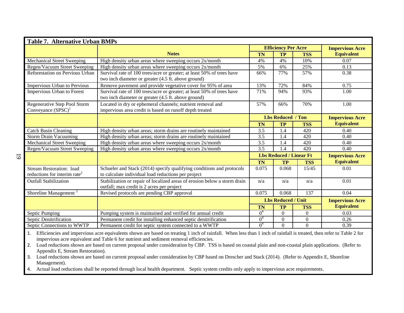<span id="page-21-0"></span>

| Table 7. Alternative Urban BMPs                                             |                                                                                                                               |                |                            |                                |                        |  |  |
|-----------------------------------------------------------------------------|-------------------------------------------------------------------------------------------------------------------------------|----------------|----------------------------|--------------------------------|------------------------|--|--|
|                                                                             |                                                                                                                               |                | <b>Efficiency Per Acre</b> | <b>Impervious Acre</b>         |                        |  |  |
|                                                                             | <b>Notes</b>                                                                                                                  | <b>TN</b>      | TP                         | <b>TSS</b>                     | <b>Equivalent</b>      |  |  |
| <b>Mechanical Street Sweeping</b>                                           | High density urban areas where sweeping occurs 2x/month                                                                       | 4%             | 4%                         | 10%                            | 0.07                   |  |  |
| Regen/Vacuum Street Sweeping                                                | High density urban areas where sweeping occurs 2x/month                                                                       | 5%             | 6%                         | 25%                            | 0.13                   |  |  |
| Reforestation on Pervious Urban                                             | Survival rate of 100 trees/acre or greater; at least 50% of trees have<br>two inch diameter or greater (4.5 ft. above ground) | 66%            | 77%                        | 57%                            | 0.38                   |  |  |
| Impervious Urban to Pervious                                                | Remove pavement and provide vegetative cover for 95% of area                                                                  | 13%            | $\overline{7}2\%$          | 84%                            | 0.75                   |  |  |
| Impervious Urban to Forest                                                  | Survival rate of 100 trees/acre or greater; at least 50% of trees have<br>two inch diameter or greater (4.5 ft. above ground) | 71%            | 94%                        | 93%                            | 1.00                   |  |  |
| Regenerative Step Pool Storm<br>Conveyance $(SPSC)^1$                       | Located in dry or ephemeral channels; nutrient removal and<br>impervious area credit is based on runoff depth treated         | 57%            | 66%                        | 70%                            | 1.00                   |  |  |
|                                                                             |                                                                                                                               |                | <b>Lbs Reduced / Ton</b>   |                                | <b>Impervious Acre</b> |  |  |
|                                                                             |                                                                                                                               | <b>TN</b>      | <b>TP</b>                  | <b>TSS</b>                     | <b>Equivalent</b>      |  |  |
| <b>Catch Basin Cleaning</b>                                                 | High density urban areas; storm drains are routinely maintained                                                               | 3.5            | 1.4                        | 420                            | 0.40                   |  |  |
| <b>Storm Drain Vacuuming</b>                                                | High density urban areas; storm drains are routinely maintained                                                               | 3.5            | 1.4                        | 420                            | 0.40                   |  |  |
| <b>Mechanical Street Sweeping</b>                                           | High density urban areas where sweeping occurs 2x/month                                                                       | 3.5            | 1.4                        | 420                            | 0.40                   |  |  |
| Regen/Vacuum Street Sweeping                                                | High density urban areas where sweeping occurs 2x/month                                                                       | 3.5            | 1.4                        | 420                            | 0.40                   |  |  |
|                                                                             |                                                                                                                               |                |                            | <b>Lbs Reduced / Linear Ft</b> | <b>Impervious Acre</b> |  |  |
|                                                                             |                                                                                                                               | <b>TN</b>      | <b>TP</b>                  | <b>TSS</b>                     | <b>Equivalent</b>      |  |  |
| <b>Stream Restoration: load</b><br>reductions for interim rate <sup>2</sup> | Schueler and Stack (2014) specify qualifying conditions and protocols<br>to calculate individual load reductions per project  | 0.075          | 0.068                      | 15/45                          | 0.01                   |  |  |
| <b>Outfall Stabilization</b>                                                | Stabilization or repair of localized areas of erosion below a storm drain<br>outfall; max credit is 2 acres per project       | n/a            | n/a                        | n/a                            | 0.01                   |  |  |
| Shoreline Management <sup>3</sup>                                           | Revised protocols are pending CBP approval                                                                                    | 0.075          | 0.068                      | 137                            | 0.04                   |  |  |
|                                                                             |                                                                                                                               |                | <b>Lbs Reduced / Unit</b>  |                                | <b>Impervious Acre</b> |  |  |
|                                                                             |                                                                                                                               | <b>TN</b>      | <b>TP</b>                  | <b>TSS</b>                     | <b>Equivalent</b>      |  |  |
| Septic Pumping                                                              | Pumping system is maintained and verified for annual credit                                                                   | 0 <sup>4</sup> | $\Omega$                   | $\Omega$                       | 0.03                   |  |  |
| Septic Denitrification                                                      | Permanent credit for installing enhanced septic denitrification                                                               | 0 <sup>4</sup> | $\Omega$                   | $\Omega$                       | 0.26                   |  |  |
| Septic Connections to WWTP                                                  | Permanent credit for septic system connected to a WWTP                                                                        | 0 <sup>4</sup> | $\Omega$                   | $\Omega$                       | 0.39                   |  |  |

1. Efficiencies and impervious acre equivalents shown are based on treating 1 inch of rainfall. When less than 1 inch of rainfall is treated, then refer to Table 2 for impervious acre equivalent and Table 6 for nutrient and sediment removal efficiencies.

2. Load reductions shown are based on current proposal under consideration by CBP. TSS is based on coastal plain and non-coastal plain applications. (Refer to Appendix E, Stream Restoration).

3. Load reductions shown are based on current proposal under consideration by CBP based on Drescher and Stack (2014). (Refer to Appendix E, Shoreline Management).

4. Actual load reductions shall be reported through local health department. Septic system credits only apply to impervious acre requirements.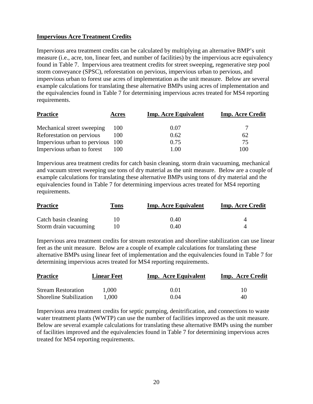# <span id="page-22-0"></span>**Impervious Acre Treatment Credits**

Impervious area treatment credits can be calculated by multiplying an alternative BMP's unit measure (i.e., acre, ton, linear feet, and number of facilities) by the impervious acre equivalency found in Table 7. Impervious area treatment credits for street sweeping, regenerative step pool storm conveyance (SPSC), reforestation on pervious, impervious urban to pervious, and impervious urban to forest use acres of implementation as the unit measure. Below are several example calculations for translating these alternative BMPs using acres of implementation and the equivalencies found in Table 7 for determining impervious acres treated for MS4 reporting requirements.

| <b>Practice</b>                  | Acres | <b>Imp. Acre Equivalent</b> | <b>Imp. Acre Credit</b> |
|----------------------------------|-------|-----------------------------|-------------------------|
| Mechanical street sweeping       | 100   | 0.07                        |                         |
| Reforestation on pervious        | 100   | 0.62                        | 62                      |
| Impervious urban to pervious 100 |       | 0.75                        | 75                      |
| Impervious urban to forest       | 100   | 1.00                        | 100                     |

Impervious area treatment credits for catch basin cleaning, storm drain vacuuming, mechanical and vacuum street sweeping use tons of dry material as the unit measure. Below are a couple of example calculations for translating these alternative BMPs using tons of dry material and the equivalencies found in Table 7 for determining impervious acres treated for MS4 reporting requirements.

| <b>Practice</b>       | Tons | <b>Imp. Acre Equivalent</b> | <b>Imp. Acre Credit</b> |
|-----------------------|------|-----------------------------|-------------------------|
| Catch basin cleaning  |      | 0.40                        |                         |
| Storm drain vacuuming |      | 0.40                        |                         |

Impervious area treatment credits for stream restoration and shoreline stabilization can use linear feet as the unit measure. Below are a couple of example calculations for translating these alternative BMPs using linear feet of implementation and the equivalencies found in Table 7 for determining impervious acres treated for MS4 reporting requirements.

| <b>Practice</b>                | <b>Linear Feet</b> | <b>Imp.</b> Acre Equivalent | Imp. Acre Credit |
|--------------------------------|--------------------|-----------------------------|------------------|
|                                |                    |                             |                  |
| <b>Stream Restoration</b>      | 1.000              | 0.01                        | 10               |
| <b>Shoreline Stabilization</b> | 1.000              | 0.04                        | 40               |

Impervious area treatment credits for septic pumping, denitrification, and connections to waste water treatment plants (WWTP) can use the number of facilities improved as the unit measure. Below are several example calculations for translating these alternative BMPs using the number of facilities improved and the equivalencies found in Table 7 for determining impervious acres treated for MS4 reporting requirements.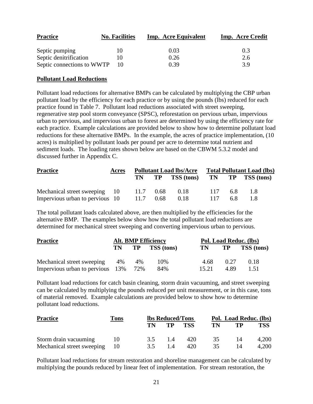| <b>Practice</b>            | <b>No. Facilities</b> | Imp. Acre Equivalent | Imp. Acre Credit |
|----------------------------|-----------------------|----------------------|------------------|
| Septic pumping             | 10                    | 0.03                 | 0.3              |
| Septic denitrification     |                       | 0.26                 | 2.6              |
| Septic connections to WWTP |                       | 0.39                 | 39               |

#### <span id="page-23-0"></span>**Pollutant Load Reductions**

Pollutant load reductions for alternative BMPs can be calculated by multiplying the CBP urban pollutant load by the efficiency for each practice or by using the pounds (lbs) reduced for each practice found in Table 7. Pollutant load reductions associated with street sweeping, regenerative step pool storm conveyance (SPSC), reforestation on pervious urban, impervious urban to pervious, and impervious urban to forest are determined by using the efficiency rate for each practice. Example calculations are provided below to show how to determine pollutant load reductions for these alternative BMPs. In the example, the acres of practice implementation, (10 acres) is multiplied by pollutant loads per pound per acre to determine total nutrient and sediment loads. The loading rates shown below are based on the CBWM 5.3.2 model and discussed further in Appendix C.

| <b>Practice</b>                 | Acres | <b>Pollutant Load lbs/Acre</b> |      |                  | <b>Total Pollutant Load (lbs)</b> |     |                  |
|---------------------------------|-------|--------------------------------|------|------------------|-----------------------------------|-----|------------------|
|                                 |       |                                |      | TN TP TSS (tons) |                                   |     | TN TP TSS (tons) |
| Mechanical street sweeping 10   |       |                                |      | 11.7 0.68 0.18   | 117 6.8                           |     | 1 X              |
| Impervious urban to pervious 10 |       | 11.7                           | 0.68 | 0.18             | 117                               | 6.8 |                  |

The total pollutant loads calculated above, are then multiplied by the efficiencies for the alternative BMP. The examples below show how the total pollutant load reductions are determined for mechanical street sweeping and converting impervious urban to pervious.

| <b>Practice</b>                  |      |     | <b>Alt. BMP Efficiency</b> | Pol. Load Reduc. (lbs) |      |                   |  |
|----------------------------------|------|-----|----------------------------|------------------------|------|-------------------|--|
|                                  | TN 1 |     | <b>TP TSS</b> (tons)       | TN 1                   | TP   | <b>TSS</b> (tons) |  |
| Mechanical street sweeping       | 4%   | 4%  | 10%                        | 4.68                   | 0.27 | 0.18              |  |
| Impervious urban to pervious 13% |      | 72% | 84%                        | 15.21                  | 4.89 | 1.51              |  |

Pollutant load reductions for catch basin cleaning, storm drain vacuuming, and street sweeping can be calculated by multiplying the pounds reduced per unit measurement, or in this case, tons of material removed. Example calculations are provided below to show how to determine pollutant load reductions.

| <b>Practice</b>            | <u>Tons</u> | <b>lbs Reduced/Tons</b> |     |            | Pol. Load Reduc. (lbs) |    |            |
|----------------------------|-------------|-------------------------|-----|------------|------------------------|----|------------|
|                            |             | TN.                     | TP  | <b>TSS</b> | TN                     | TP | <b>TSS</b> |
| Storm drain vacuuming      | 10          | 3.5                     | 1.4 | 420        | 35                     | 14 | 4,200      |
| Mechanical street sweeping | $\sqrt{10}$ | 3.5                     | 1.4 | 420        | 35                     |    | 4,200      |

Pollutant load reductions for stream restoration and shoreline management can be calculated by multiplying the pounds reduced by linear feet of implementation. For stream restoration, the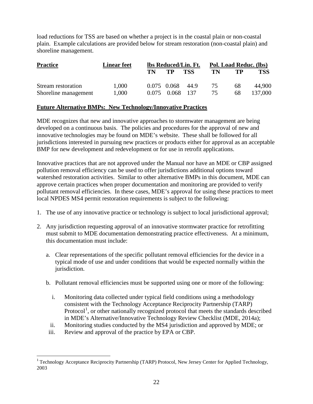load reductions for TSS are based on whether a project is in the coastal plain or non-coastal plain. Example calculations are provided below for stream restoration (non-coastal plain) and shoreline management.

| <b>Practice</b>      | <b>Linear feet</b> | lbs Reduced/Lin. Ft. |             |      | Pol. Load Reduc. (lbs) |    |            |
|----------------------|--------------------|----------------------|-------------|------|------------------------|----|------------|
|                      |                    | TN                   | TP          | TSS  | TN                     | TP | <b>TSS</b> |
| Stream restoration   | 1.000              |                      | 0.075 0.068 | 44.9 | 75                     | 68 | 44,900     |
| Shoreline management | 1,000              | 0.075                | 0.068       | -137 | 75.                    | 68 | 137,000    |

#### <span id="page-24-0"></span>**Future Alternative BMPs: New Technology/Innovative Practices**

MDE recognizes that new and innovative approaches to stormwater management are being developed on a continuous basis. The policies and procedures for the approval of new and innovative technologies may be found on MDE's website. These shall be followed for all jurisdictions interested in pursuing new practices or products either for approval as an acceptable BMP for new development and redevelopment or for use in retrofit applications.

Innovative practices that are not approved under the Manual nor have an MDE or CBP assigned pollution removal efficiency can be used to offer jurisdictions additional options toward watershed restoration activities. Similar to other alternative BMPs in this document, MDE can approve certain practices when proper documentation and monitoring are provided to verify pollutant removal efficiencies. In these cases, MDE's approval for using these practices to meet local NPDES MS4 permit restoration requirements is subject to the following:

- 1. The use of any innovative practice or technology is subject to local jurisdictional approval;
- 2. Any jurisdiction requesting approval of an innovative stormwater practice for retrofitting must submit to MDE documentation demonstrating practice effectiveness. At a minimum, this documentation must include:
	- a. Clear representations of the specific pollutant removal efficiencies for the device in a typical mode of use and under conditions that would be expected normally within the jurisdiction.
	- b. Pollutant removal efficiencies must be supported using one or more of the following:
		- i. Monitoring data collected under typical field conditions using a methodology consistent with the Technology Acceptance Reciprocity Partnership (TARP) Protocol<sup>[1](#page-24-1)</sup>, or other nationally recognized protocol that meets the standards described in MDE's Alternative/Innovative Technology Review Checklist (MDE, 2014a);
		- ii. Monitoring studies conducted by the MS4 jurisdiction and approved by MDE; or
	- iii. Review and approval of the practice by EPA or CBP.

 $\overline{a}$ 

<span id="page-24-1"></span><sup>&</sup>lt;sup>1</sup> Technology Acceptance Reciprocity Partnership (TARP) Protocol, New Jersey Center for Applied Technology, 2003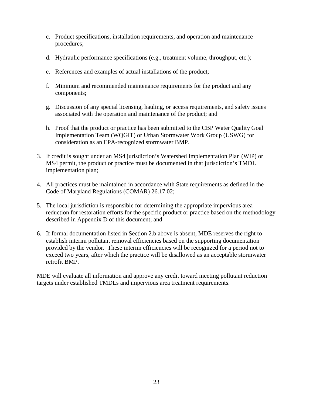- c. Product specifications, installation requirements, and operation and maintenance procedures;
- d. Hydraulic performance specifications (e.g., treatment volume, throughput, etc.);
- e. References and examples of actual installations of the product;
- f. Minimum and recommended maintenance requirements for the product and any components;
- g. Discussion of any special licensing, hauling, or access requirements, and safety issues associated with the operation and maintenance of the product; and
- h. Proof that the product or practice has been submitted to the CBP Water Quality Goal Implementation Team (WQGIT) or Urban Stormwater Work Group (USWG) for consideration as an EPA-recognized stormwater BMP.
- 3. If credit is sought under an MS4 jurisdiction's Watershed Implementation Plan (WIP) or MS4 permit, the product or practice must be documented in that jurisdiction's TMDL implementation plan;
- 4. All practices must be maintained in accordance with State requirements as defined in the Code of Maryland Regulations (COMAR) 26.17.02;
- 5. The local jurisdiction is responsible for determining the appropriate impervious area reduction for restoration efforts for the specific product or practice based on the methodology described in Appendix D of this document; and
- 6. If formal documentation listed in Section 2.b above is absent, MDE reserves the right to establish interim pollutant removal efficiencies based on the supporting documentation provided by the vendor. These interim efficiencies will be recognized for a period not to exceed two years, after which the practice will be disallowed as an acceptable stormwater retrofit BMP.

MDE will evaluate all information and approve any credit toward meeting pollutant reduction targets under established TMDLs and impervious area treatment requirements.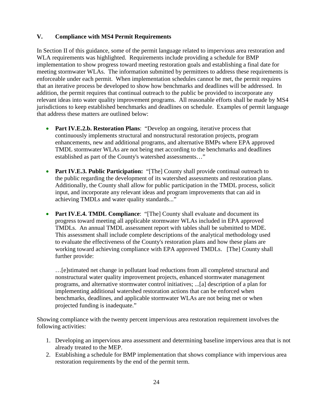# **V. Compliance with MS4 Permit Requirements**

In Section II of this guidance, some of the permit language related to impervious area restoration and WLA requirements was highlighted. Requirements include providing a schedule for BMP implementation to show progress toward meeting restoration goals and establishing a final date for meeting stormwater WLAs. The information submitted by permittees to address these requirements is enforceable under each permit. When implementation schedules cannot be met, the permit requires that an iterative process be developed to show how benchmarks and deadlines will be addressed. In addition, the permit requires that continual outreach to the public be provided to incorporate any relevant ideas into water quality improvement programs. All reasonable efforts shall be made by MS4 jurisdictions to keep established benchmarks and deadlines on schedule. Examples of permit language that address these matters are outlined below:

- **Part IV.E.2.b. Restoration Plans**: "Develop an ongoing, iterative process that continuously implements structural and nonstructural restoration projects, program enhancements, new and additional programs, and alternative BMPs where EPA approved TMDL stormwater WLAs are not being met according to the benchmarks and deadlines established as part of the County's watershed assessments…"
- **Part IV.E.3. Public Participation:** "[The] County shall provide continual outreach to the public regarding the development of its watershed assessments and restoration plans. Additionally, the County shall allow for public participation in the TMDL process, solicit input, and incorporate any relevant ideas and program improvements that can aid in achieving TMDLs and water quality standards..."
- **Part IV.E.4. TMDL Compliance:** "[The] County shall evaluate and document its progress toward meeting all applicable stormwater WLAs included in EPA approved TMDLs. An annual TMDL assessment report with tables shall be submitted to MDE. This assessment shall include complete descriptions of the analytical methodology used to evaluate the effectiveness of the County's restoration plans and how these plans are working toward achieving compliance with EPA approved TMDLs. [The] County shall further provide:

…[e]stimated net change in pollutant load reductions from all completed structural and nonstructural water quality improvement projects, enhanced stormwater management programs, and alternative stormwater control initiatives; ...[a] description of a plan for implementing additional watershed restoration actions that can be enforced when benchmarks, deadlines, and applicable stormwater WLAs are not being met or when projected funding is inadequate."

Showing compliance with the twenty percent impervious area restoration requirement involves the following activities:

- 1. Developing an impervious area assessment and determining baseline impervious area that is not already treated to the MEP.
- 2. Establishing a schedule for BMP implementation that shows compliance with impervious area restoration requirements by the end of the permit term.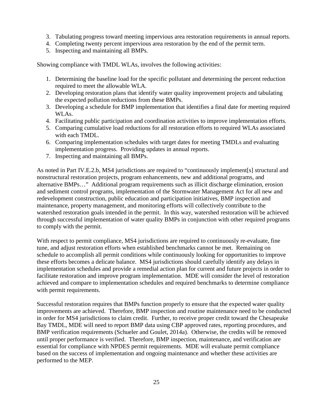- 3. Tabulating progress toward meeting impervious area restoration requirements in annual reports.
- 4. Completing twenty percent impervious area restoration by the end of the permit term.
- 5. Inspecting and maintaining all BMPs.

Showing compliance with TMDL WLAs, involves the following activities:

- 1. Determining the baseline load for the specific pollutant and determining the percent reduction required to meet the allowable WLA.
- 2. Developing restoration plans that identify water quality improvement projects and tabulating the expected pollution reductions from these BMPs.
- 3. Developing a schedule for BMP implementation that identifies a final date for meeting required WLAs.
- 4. Facilitating public participation and coordination activities to improve implementation efforts.
- 5. Comparing cumulative load reductions for all restoration efforts to required WLAs associated with each TMDL.
- 6. Comparing implementation schedules with target dates for meeting TMDLs and evaluating implementation progress. Providing updates in annual reports.
- 7. Inspecting and maintaining all BMPs.

As noted in Part IV.E.2.b, MS4 jurisdictions are required to "continuously implement[s] structural and nonstructural restoration projects, program enhancements, new and additional programs, and alternative BMPs…" Additional program requirements such as illicit discharge elimination, erosion and sediment control programs, implementation of the Stormwater Management Act for all new and redevelopment construction, public education and participation initiatives, BMP inspection and maintenance, property management, and monitoring efforts will collectively contribute to the watershed restoration goals intended in the permit. In this way, watershed restoration will be achieved through successful implementation of water quality BMPs in conjunction with other required programs to comply with the permit.

With respect to permit compliance, MS4 jurisdictions are required to continuously re-evaluate, fine tune, and adjust restoration efforts when established benchmarks cannot be met. Remaining on schedule to accomplish all permit conditions while continuously looking for opportunities to improve these efforts becomes a delicate balance. MS4 jurisdictions should carefully identify any delays in implementation schedules and provide a remedial action plan for current and future projects in order to facilitate restoration and improve program implementation. MDE will consider the level of restoration achieved and compare to implementation schedules and required benchmarks to determine compliance with permit requirements.

Successful restoration requires that BMPs function properly to ensure that the expected water quality improvements are achieved. Therefore, BMP inspection and routine maintenance need to be conducted in order for MS4 jurisdictions to claim credit. Further, to receive proper credit toward the Chesapeake Bay TMDL, MDE will need to report BMP data using CBP approved rates, reporting procedures, and BMP verification requirements (Schueler and Goulet, 2014a). Otherwise, the credits will be removed until proper performance is verified. Therefore, BMP inspection, maintenance, and verification are essential for compliance with NPDES permit requirements. MDE will evaluate permit compliance based on the success of implementation and ongoing maintenance and whether these activities are performed to the MEP.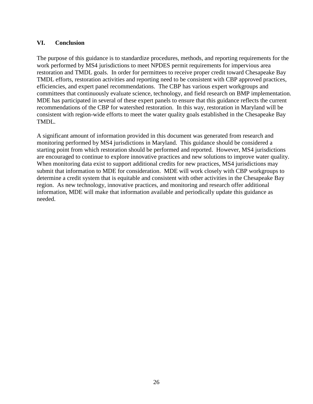#### <span id="page-28-0"></span>**VI. Conclusion**

The purpose of this guidance is to standardize procedures, methods, and reporting requirements for the work performed by MS4 jurisdictions to meet NPDES permit requirements for impervious area restoration and TMDL goals. In order for permittees to receive proper credit toward Chesapeake Bay TMDL efforts, restoration activities and reporting need to be consistent with CBP approved practices, efficiencies, and expert panel recommendations. The CBP has various expert workgroups and committees that continuously evaluate science, technology, and field research on BMP implementation. MDE has participated in several of these expert panels to ensure that this guidance reflects the current recommendations of the CBP for watershed restoration. In this way, restoration in Maryland will be consistent with region-wide efforts to meet the water quality goals established in the Chesapeake Bay TMDL.

A significant amount of information provided in this document was generated from research and monitoring performed by MS4 jurisdictions in Maryland. This guidance should be considered a starting point from which restoration should be performed and reported. However, MS4 jurisdictions are encouraged to continue to explore innovative practices and new solutions to improve water quality. When monitoring data exist to support additional credits for new practices, MS4 jurisdictions may submit that information to MDE for consideration. MDE will work closely with CBP workgroups to determine a credit system that is equitable and consistent with other activities in the Chesapeake Bay region. As new technology, innovative practices, and monitoring and research offer additional information, MDE will make that information available and periodically update this guidance as needed.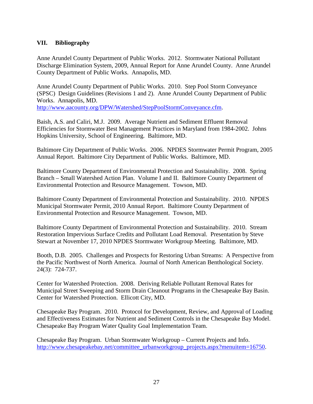#### <span id="page-29-0"></span>**VII. Bibliography**

Anne Arundel County Department of Public Works. 2012. Stormwater National Pollutant Discharge Elimination System, 2009, Annual Report for Anne Arundel County. Anne Arundel County Department of Public Works. Annapolis, MD.

Anne Arundel County Department of Public Works. 2010. Step Pool Storm Conveyance (SPSC) Design Guidelines (Revisions 1 and 2). Anne Arundel County Department of Public Works. Annapolis, MD. [http://www.aacounty.org/DPW/Watershed/StepPoolStormConveyance.cfm.](http://www.aacounty.org/DPW/Watershed/StepPoolStormConveyance.cfm)

Baish, A.S. and Caliri, M.J. 2009. Average Nutrient and Sediment Effluent Removal Efficiencies for Stormwater Best Management Practices in Maryland from 1984-2002. Johns Hopkins University, School of Engineering. Baltimore, MD.

Baltimore City Department of Public Works. 2006. NPDES Stormwater Permit Program, 2005 Annual Report. Baltimore City Department of Public Works. Baltimore, MD.

Baltimore County Department of Environmental Protection and Sustainability. 2008. Spring Branch – Small Watershed Action Plan. Volume I and II. Baltimore County Department of Environmental Protection and Resource Management. Towson, MD.

Baltimore County Department of Environmental Protection and Sustainability. 2010. NPDES Municipal Stormwater Permit, 2010 Annual Report. Baltimore County Department of Environmental Protection and Resource Management. Towson, MD.

Baltimore County Department of Environmental Protection and Sustainability. 2010. Stream Restoration Impervious Surface Credits and Pollutant Load Removal. Presentation by Steve Stewart at November 17, 2010 NPDES Stormwater Workgroup Meeting. Baltimore, MD.

Booth, D.B. 2005. Challenges and Prospects for Restoring Urban Streams: A Perspective from the Pacific Northwest of North America. Journal of North American Benthological Society. 24(3): 724-737.

Center for Watershed Protection. 2008. Deriving Reliable Pollutant Removal Rates for Municipal Street Sweeping and Storm Drain Cleanout Programs in the Chesapeake Bay Basin. Center for Watershed Protection. Ellicott City, MD.

Chesapeake Bay Program. 2010. Protocol for Development, Review, and Approval of Loading and Effectiveness Estimates for Nutrient and Sediment Controls in the Chesapeake Bay Model. Chesapeake Bay Program Water Quality Goal Implementation Team.

Chesapeake Bay Program. Urban Stormwater Workgroup – Current Projects and Info. [http://www.chesapeakebay.net/committee\\_urbanworkgroup\\_projects.aspx?menuitem=16750.](http://www.chesapeakebay.net/committee_urbanworkgroup_projects.aspx?menuitem=16750)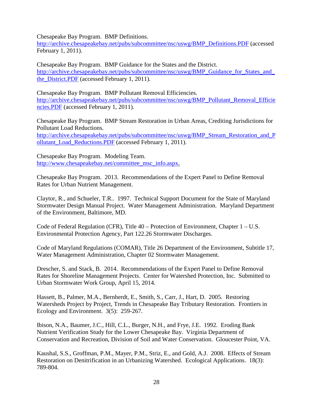Chesapeake Bay Program. BMP Definitions.

[http://archive.chesapeakebay.net/pubs/subcommittee/nsc/uswg/BMP\\_Definitions.PDF](http://archive.chesapeakebay.net/pubs/subcommittee/nsc/uswg/BMP_Definitions.PDF) (accessed February 1, 2011).

Chesapeake Bay Program. BMP Guidance for the States and the District. http://archive.chesapeakebay.net/pubs/subcommittee/nsc/uswg/BMP\_Guidance\_for\_States\_and [the\\_District.PDF](http://archive.chesapeakebay.net/pubs/subcommittee/nsc/uswg/BMP_Guidance_for_States_and_the_District.PDF) (accessed February 1, 2011).

Chesapeake Bay Program. BMP Pollutant Removal Efficiencies. [http://archive.chesapeakebay.net/pubs/subcommittee/nsc/uswg/BMP\\_Pollutant\\_Removal\\_Efficie](http://archive.chesapeakebay.net/pubs/subcommittee/nsc/uswg/BMP_Pollutant_Removal_Efficiencies.PDF) [ncies.PDF](http://archive.chesapeakebay.net/pubs/subcommittee/nsc/uswg/BMP_Pollutant_Removal_Efficiencies.PDF) (accessed February 1, 2011).

Chesapeake Bay Program. BMP Stream Restoration in Urban Areas, Crediting Jurisdictions for Pollutant Load Reductions.

[http://archive.chesapeakebay.net/pubs/subcommittee/nsc/uswg/BMP\\_Stream\\_Restoration\\_and\\_P](http://archive.chesapeakebay.net/pubs/subcommittee/nsc/uswg/BMP_Stream_Restoration_and_Pollutant_Load_Reductions.PDF) [ollutant\\_Load\\_Reductions.PDF](http://archive.chesapeakebay.net/pubs/subcommittee/nsc/uswg/BMP_Stream_Restoration_and_Pollutant_Load_Reductions.PDF) (accessed February 1, 2011).

Chesapeake Bay Program. Modeling Team. [http://www.chesapeakebay.net/committee\\_msc\\_info.aspx.](http://www.chesapeakebay.net/committee_msc_info.aspx)

Chesapeake Bay Program. 2013. Recommendations of the Expert Panel to Define Removal Rates for Urban Nutrient Management.

Claytor, R., and Schueler, T.R.. 1997. Technical Support Document for the State of Maryland Stormwater Design Manual Project. Water Management Administration. Maryland Department of the Environment, Baltimore, MD.

Code of Federal Regulation (CFR), Title 40 – Protection of Environment, Chapter 1 – U.S. Environmental Protection Agency, Part 122.26 Stormwater Discharges.

Code of Maryland Regulations (COMAR), Title 26 Department of the Environment, Subtitle 17, Water Management Administration, Chapter 02 Stormwater Management.

Drescher, S. and Stack, B. 2014. Recommendations of the Expert Panel to Define Removal Rates for Shoreline Management Projects. Center for Watershed Protection, Inc. Submitted to Urban Stormwater Work Group, April 15, 2014.

Hassett, B., Palmer, M.A., Bernherdt, E., Smith, S., Carr, J., Hart, D. 2005. Restoring Watersheds Project by Project, Trends in Chesapeake Bay Tributary Restoration. Frontiers in Ecology and Environment. 3(5): 259-267.

Ibison, N.A., Baumer, J.C., Hill, C.L., Burger, N.H., and Frye, J.E. 1992. Eroding Bank Nutrient Verification Study for the Lower Chesapeake Bay. Virginia Department of Conservation and Recreation, Division of Soil and Water Conservation. Gloucester Point, VA.

Kaushal, S.S., Groffman, P.M., Mayer, P.M., Striz, E., and Gold, A.J. 2008. Effects of Stream Restoration on Denitrification in an Urbanizing Watershed. Ecological Applications. 18(3): 789-804.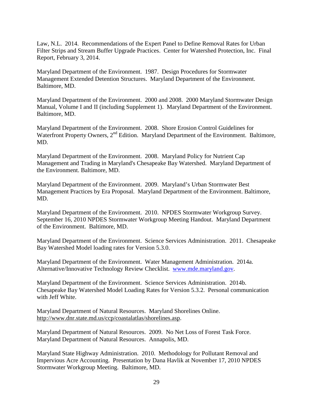Law, N.L. 2014. Recommendations of the Expert Panel to Define Removal Rates for Urban Filter Strips and Stream Buffer Upgrade Practices. Center for Watershed Protection, Inc. Final Report, February 3, 2014.

Maryland Department of the Environment. 1987. Design Procedures for Stormwater Management Extended Detention Structures. Maryland Department of the Environment. Baltimore, MD.

Maryland Department of the Environment. 2000 and 2008. 2000 Maryland Stormwater Design Manual, Volume I and II (including Supplement 1). Maryland Department of the Environment. Baltimore, MD.

Maryland Department of the Environment. 2008. Shore Erosion Control Guidelines for Waterfront Property Owners, 2<sup>nd</sup> Edition. Maryland Department of the Environment. Baltimore, MD.

Maryland Department of the Environment. 2008. Maryland Policy for Nutrient Cap Management and Trading in Maryland's Chesapeake Bay Watershed. Maryland Department of the Environment. Baltimore, MD.

Maryland Department of the Environment. 2009. Maryland's Urban Stormwater Best Management Practices by Era Proposal. Maryland Department of the Environment. Baltimore, MD.

Maryland Department of the Environment. 2010. NPDES Stormwater Workgroup Survey. September 16, 2010 NPDES Stormwater Workgroup Meeting Handout. Maryland Department of the Environment. Baltimore, MD.

Maryland Department of the Environment. Science Services Administration. 2011. Chesapeake Bay Watershed Model loading rates for Version 5.3.0.

Maryland Department of the Environment. Water Management Administration. 2014a. Alternative/Innovative Technology Review Checklist. [www.mde.maryland.gov.](http://www.mde.maryland.gov/)

Maryland Department of the Environment. Science Services Administration. 2014b. Chesapeake Bay Watershed Model Loading Rates for Version 5.3.2. Personal communication with Jeff White.

Maryland Department of Natural Resources. Maryland Shorelines Online. http://www.dnr.state.md.us/ccp/coastalatlas/shorelines.asp.

Maryland Department of Natural Resources. 2009. No Net Loss of Forest Task Force. Maryland Department of Natural Resources. Annapolis, MD.

Maryland State Highway Administration. 2010. Methodology for Pollutant Removal and Impervious Acre Accounting. Presentation by Dana Havlik at November 17, 2010 NPDES Stormwater Workgroup Meeting. Baltimore, MD.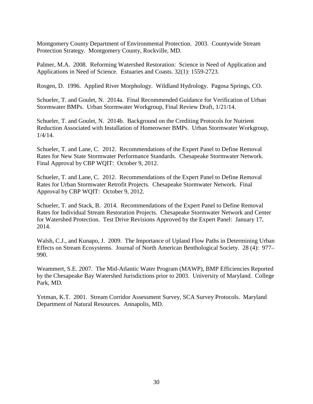Montgomery County Department of Environmental Protection. 2003. Countywide Stream Protection Strategy. Montgomery County, Rockville, MD.

Palmer, M.A. 2008. Reforming Watershed Restoration: Science in Need of Application and Applications in Need of Science. Estuaries and Coasts. 32(1): 1559-2723.

Rosgen, D. 1996. Applied River Morphology. Wildland Hydrology. Pagosa Springs, CO.

Schueler, T. and Goulet, N. 2014a. Final Recommended Guidance for Verification of Urban Stormwater BMPs. Urban Stormwater Workgroup, Final Review Draft, 1/21/14.

Schueler, T. and Goulet, N. 2014b. Background on the Crediting Protocols for Nutrient Reduction Associated with Installation of Homeowner BMPs. Urban Stormwater Workgroup, 1/4/14.

Schueler, T. and Lane, C. 2012. Recommendations of the Expert Panel to Define Removal Rates for New State Stormwater Performance Standards. Chesapeake Stormwater Network. Final Approval by CBP WQIT: October 9, 2012.

Schueler, T. and Lane, C. 2012. Recommendations of the Expert Panel to Define Removal Rates for Urban Stormwater Retrofit Projects. Chesapeake Stormwater Network. Final Approval by CBP WQIT: October 9, 2012.

Schueler, T. and Stack, B. 2014. Recommendations of the Expert Panel to Define Removal Rates for Individual Stream Restoration Projects. Chesapeake Stormwater Network and Center for Watershed Protection. Test Drive Revisions Approved by the Expert Panel: January 17, 2014.

Walsh, C.J., and Kunapo, J. 2009. The Importance of Upland Flow Paths in Determining Urban Effects on Stream Ecosystems. Journal of North American Benthological Society. 28 (4): 977– 990.

Weammert, S.E. 2007. The Mid-Atlantic Water Program (MAWP), BMP Efficiencies Reported by the Chesapeake Bay Watershed Jurisdictions prior to 2003. University of Maryland. College Park, MD.

Yetman, K.T. 2001. Stream Corridor Assessment Survey, SCA Survey Protocols. Maryland Department of Natural Resources. Annapolis, MD.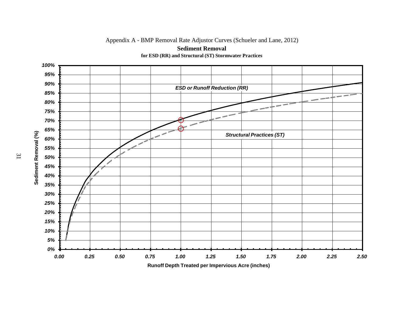Appendix A - BMP Removal Rate Adjustor Curves (Schueler and Lane, 2012)



**Sediment Removal for ESD (RR) and Structural (ST) Stormwater Practices**

**Runoff Depth Treated per Impervious Acre (inches)**

<span id="page-33-0"></span>31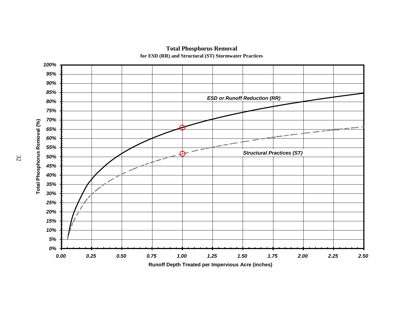

#### **Total Phosphorus Removal for ESD (RR) and Structural (ST) Stormwater Practices**

**Runoff Depth Treated per Impervious Acre (inches)**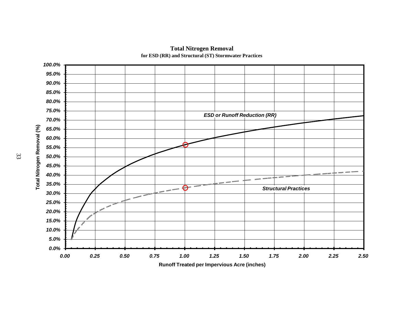

#### **Total Nitrogen Removal for ESD (RR) and Structural (ST) Stormwater Practices**

**Runoff Treated per Impervious Acre (inches)**

33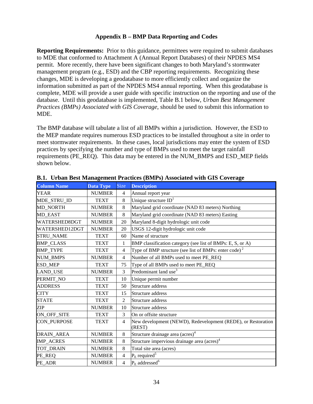#### **Appendix B – BMP Data Reporting and Codes**

<span id="page-36-0"></span>**Reporting Requirements:** Prior to this guidance, permittees were required to submit databases to MDE that conformed to Attachment A (Annual Report Databases) of their NPDES MS4 permit. More recently, there have been significant changes to both Maryland's stormwater management program (e.g., ESD) and the CBP reporting requirements. Recognizing these changes, MDE is developing a geodatabase to more efficiently collect and organize the information submitted as part of the NPDES MS4 annual reporting. When this geodatabase is complete, MDE will provide a user guide with specific instruction on the reporting and use of the database. Until this geodatabase is implemented, Table B.1 below, *Urban Best Management Practices (BMPs) Associated with GIS Coverage*, should be used to submit this information to MDE.

The BMP database will tabulate a list of all BMPs within a jurisdiction. However, the ESD to the MEP mandate requires numerous ESD practices to be installed throughout a site in order to meet stormwater requirements. In these cases, local jurisdictions may enter the system of ESD practices by specifying the number and type of BMPs used to meet the target rainfall requirements (PE\_REQ). This data may be entered in the NUM\_BMPS and ESD\_MEP fields shown below.

| <b>Column Name</b> | Data Type     | Size           | <b>Description</b>                                                     |
|--------------------|---------------|----------------|------------------------------------------------------------------------|
| <b>YEAR</b>        | <b>NUMBER</b> | $\overline{4}$ | Annual report year                                                     |
| MDE_STRU_ID        | <b>TEXT</b>   | 8              | Unique structure $ID1$                                                 |
| MD_NORTH           | <b>NUMBER</b> | 8              | Maryland grid coordinate (NAD 83 meters) Northing                      |
| MD_EAST            | <b>NUMBER</b> | 8              | Maryland grid coordinate (NAD 83 meters) Easting                       |
| WATERSHED8DGT      | <b>NUMBER</b> | 20             | Maryland 8-digit hydrologic unit code                                  |
| WATERSHED12DGT     | <b>NUMBER</b> | 20             | USGS 12-digit hydrologic unit code                                     |
| <b>STRU_NAME</b>   | <b>TEXT</b>   | 60             | Name of structure                                                      |
| <b>BMP_CLASS</b>   | <b>TEXT</b>   | 1              | BMP classification category (see list of BMPs: E, S, or A)             |
| <b>BMP TYPE</b>    | <b>TEXT</b>   | $\overline{4}$ | Type of BMP structure (see list of BMPs: enter code) $2$               |
| <b>NUM_BMPS</b>    | <b>NUMBER</b> | $\overline{4}$ | Number of all BMPs used to meet PE REQ                                 |
| <b>ESD_MEP</b>     | <b>TEXT</b>   | 75             | Type of all BMPs used to meet PE_REQ                                   |
| LAND_USE           | <b>NUMBER</b> | 3              | Predominant land use <sup>3</sup>                                      |
| PERMIT NO          | <b>TEXT</b>   | 10             | Unique permit number                                                   |
| <b>ADDRESS</b>     | <b>TEXT</b>   | 50             | Structure address                                                      |
| <b>CITY</b>        | <b>TEXT</b>   | 15             | Structure address                                                      |
| <b>STATE</b>       | <b>TEXT</b>   | $\overline{2}$ | Structure address                                                      |
| <b>ZIP</b>         | <b>NUMBER</b> | 10             | Structure address                                                      |
| ON_OFF_SITE        | <b>TEXT</b>   | 3              | On or offsite structure                                                |
| <b>CON PURPOSE</b> | <b>TEXT</b>   | $\overline{4}$ | New development (NEWD), Redevelopment (REDE), or Restoration<br>(REST) |
| DRAIN_AREA         | <b>NUMBER</b> | 8              | Structure drainage area (acres) <sup>4</sup>                           |
| <b>IMP_ACRES</b>   | <b>NUMBER</b> | 8              | Structure impervious drainage area (acres) <sup>4</sup>                |
| <b>TOT DRAIN</b>   | <b>NUMBER</b> | 8              | Total site area (acres)                                                |
| PE_REQ             | <b>NUMBER</b> | $\overline{4}$ | $PE$ required <sup>5</sup>                                             |
| PE_ADR             | <b>NUMBER</b> | $\overline{4}$ | $PE$ addressed <sup>6</sup>                                            |

**B.1. Urban Best Management Practices (BMPs) Associated with GIS Coverage**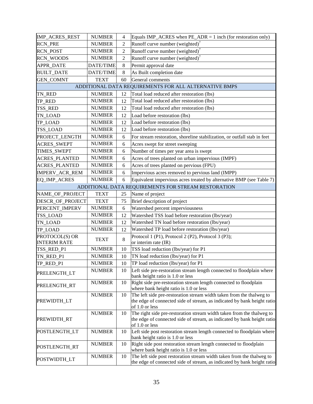| IMP_ACRES_REST                        | <b>NUMBER</b>    | 4              | Equals IMP_ACRES when $PE\_ADR = 1$ inch (for restoration only)                                                                                                    |
|---------------------------------------|------------------|----------------|--------------------------------------------------------------------------------------------------------------------------------------------------------------------|
| <b>RCN_PRE</b>                        | <b>NUMBER</b>    | $\overline{2}$ | Runoff curve number (weighted) <sup>7</sup>                                                                                                                        |
| <b>RCN_POST</b>                       | <b>NUMBER</b>    | $\overline{2}$ | Runoff curve number (weighted) <sup>7</sup>                                                                                                                        |
| <b>RCN_WOODS</b>                      | <b>NUMBER</b>    | $\overline{2}$ | Runoff curve number (weighted) <sup>7</sup>                                                                                                                        |
| <b>APPR_DATE</b>                      | DATE/TIME        | 8              | Permit approval date                                                                                                                                               |
| <b>BUILT_DATE</b>                     | <b>DATE/TIME</b> | 8              | As Built completion date                                                                                                                                           |
| <b>GEN_COMNT</b>                      | <b>TEXT</b>      | 60             | General comments                                                                                                                                                   |
|                                       |                  |                | ADDITIONAL DATA REQUIREMENTS FOR ALL ALTERNATIVE BMPS                                                                                                              |
| TN_RED                                | <b>NUMBER</b>    | 12             | Total load reduced after restoration (lbs)                                                                                                                         |
| TP_RED                                | <b>NUMBER</b>    | 12             | Total load reduced after restoration (lbs)                                                                                                                         |
| TSS_RED                               | <b>NUMBER</b>    | 12             | Total load reduced after restoration (lbs)                                                                                                                         |
| TN_LOAD                               | <b>NUMBER</b>    | 12             | Load before restoration (lbs)                                                                                                                                      |
| TP_LOAD                               | <b>NUMBER</b>    | 12             | Load before restoration (lbs)                                                                                                                                      |
| TSS_LOAD                              | <b>NUMBER</b>    | 12             | Load before restoration (lbs)                                                                                                                                      |
| PROJECT_LENGTH                        | <b>NUMBER</b>    | 6              | For stream restoration, shoreline stabilization, or outfall stab in feet                                                                                           |
| <b>ACRES_SWEPT</b>                    | <b>NUMBER</b>    | 6              | Acres swept for street sweeping                                                                                                                                    |
| TIMES_SWEPT                           | <b>NUMBER</b>    | 6              | Number of times per year area is swept                                                                                                                             |
| <b>ACRES_PLANTED</b>                  | <b>NUMBER</b>    | 6              | Acres of trees planted on urban impervious (IMPF)                                                                                                                  |
| <b>ACRES_PLANTED</b>                  | <b>NUMBER</b>    | 6              | Acres of trees planted on pervious (FPU)                                                                                                                           |
| IMPERV_ACR_REM                        | <b>NUMBER</b>    | 6              | Impervious acres removed to pervious land (IMPP)                                                                                                                   |
| EQ_IMP_ACRES                          | <b>NUMBER</b>    | 6              | Equivalent impervious acres treated by alternative BMP (see Table 7)                                                                                               |
|                                       |                  |                | ADDITIONAL DATA REQUIREMENTS FOR STREAM RESTORATION                                                                                                                |
| NAME_OF_PROJECT                       | <b>TEXT</b>      | 25             | Name of project                                                                                                                                                    |
| DESCR_OF_PROJECT                      | <b>TEXT</b>      | 75             | Brief description of project                                                                                                                                       |
| PERCENT_IMPERV                        | <b>NUMBER</b>    | 6              | Watershed percent imperviousness                                                                                                                                   |
| TSS_LOAD                              | <b>NUMBER</b>    | 12             | Watershed TSS load before restoration (lbs/year)                                                                                                                   |
| TN_LOAD                               | <b>NUMBER</b>    | 12             | Watershed TN load before restoration (lbs/year)                                                                                                                    |
| TP_LOAD                               | <b>NUMBER</b>    | 12             | Watershed TP load before restoration (lbs/year)                                                                                                                    |
| PROTOCOL(S) OR<br><b>INTERIM RATE</b> | <b>TEXT</b>      | 8              | Protocol 1 (P1), Protocol 2 (P2), Protocol 3 (P3);<br>or interim rate (IR)                                                                                         |
| TSS_RED_P1                            | <b>NUMBER</b>    | 10             | TSS load reduction (lbs/year) for P1                                                                                                                               |
| TN_RED_P1                             | <b>NUMBER</b>    | 10             | TN load reduction (lbs/year) for P1                                                                                                                                |
| TP_RED_P1                             | <b>NUMBER</b>    | 10             | TP load reduction (lbs/year) for P1                                                                                                                                |
| PRELENGTH_LT                          | <b>NUMBER</b>    | 10             | Left side pre-restoration stream length connected to floodplain where<br>bank height ratio is 1.0 or less                                                          |
| PRELENGTH_RT                          | <b>NUMBER</b>    | 10             | Right side pre-restoration stream length connected to floodplain<br>where bank height ratio is 1.0 or less                                                         |
| PREWIDTH_LT                           | <b>NUMBER</b>    | 10             | The left side pre-restoration stream width taken from the thalweg to<br>the edge of connected side of stream, as indicated by bank height ratio<br>of 1.0 or less  |
| PREWIDTH_RT                           | <b>NUMBER</b>    | 10             | The right side pre-restoration stream width taken from the thalweg to<br>the edge of connected side of stream, as indicated by bank height ratio<br>of 1.0 or less |
| POSTLENGTH_LT                         | <b>NUMBER</b>    | 10             | Left side post restoration stream length connected to floodplain where<br>bank height ratio is 1.0 or less                                                         |
| POSTLENGTH_RT                         | <b>NUMBER</b>    | 10             | Right side post restoration stream length connected to floodplain<br>where bank height ratio is 1.0 or less                                                        |
| POSTWIDTH_LT                          | <b>NUMBER</b>    | 10             | The left side post restoration stream width taken from the thalweg to<br>the edge of connected side of stream, as indicated by bank height ratio                   |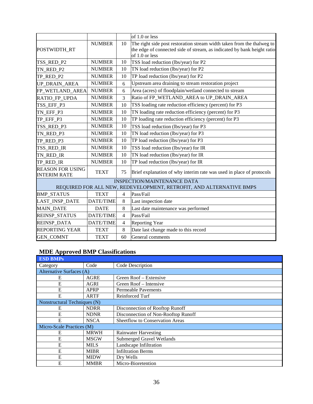|                                                |                  |                | of 1.0 or less                                                                            |
|------------------------------------------------|------------------|----------------|-------------------------------------------------------------------------------------------|
|                                                |                  |                |                                                                                           |
|                                                | <b>NUMBER</b>    | 10             | The right side post restoration stream width taken from the thalweg to                    |
| POSTWIDTH RT                                   |                  |                | the edge of connected side of stream, as indicated by bank height ratio<br>of 1.0 or less |
| TSS_RED_P2                                     | <b>NUMBER</b>    | 10             | TSS load reduction (lbs/year) for P2                                                      |
| TN_RED_P2                                      | <b>NUMBER</b>    | 10             | TN load reduction (lbs/year) for P2                                                       |
| TP_RED_P2                                      | <b>NUMBER</b>    | 10             | TP load reduction (lbs/year) for P2                                                       |
| UP_DRAIN_AREA                                  | <b>NUMBER</b>    | 6              | Upstream area draining to stream restoration project                                      |
| FP_WETLAND_AREA                                | <b>NUMBER</b>    | 6              | Area (acres) of floodplain/wetland connected to stream                                    |
| RATIO_FP_UPDA                                  | <b>NUMBER</b>    | 3              | Ratio of FP_WETLAND_AREA to UP_DRAIN_AREA                                                 |
| TSS_EFF_P3                                     | <b>NUMBER</b>    | 10             | TSS loading rate reduction efficiency (percent) for P3                                    |
| TN_EFF_P3                                      | <b>NUMBER</b>    | 10             | TN loading rate reduction efficiency (percent) for P3                                     |
| TP_EFF_P3                                      | <b>NUMBER</b>    | 10             | TP loading rate reduction efficiency (percent) for P3                                     |
| TSS_RED_P3                                     | <b>NUMBER</b>    | 10             | TSS load reduction (lbs/year) for P3                                                      |
| TN_RED_P3                                      | <b>NUMBER</b>    | 10             | TN load reduction (lbs/year) for P3                                                       |
| TP_RED_P3                                      | <b>NUMBER</b>    | 10             | TP load reduction (lbs/year) for P3                                                       |
| TSS_RED_IR                                     | <b>NUMBER</b>    | 10             | TSS load reduction (lbs/year) for IR                                                      |
| TN_RED_IR                                      | <b>NUMBER</b>    | 10             | TN load reduction (lbs/year) for IR                                                       |
| TP_RED_IR                                      | <b>NUMBER</b>    | 10             | TP load reduction (lbs/year) for IR                                                       |
| <b>REASON FOR USING</b><br><b>INTERIM RATE</b> | <b>TEXT</b>      | 75             | Brief explanation of why interim rate was used in place of protocols                      |
|                                                |                  |                | <b>INSPECTION/MAINTENANCE DATA</b>                                                        |
|                                                |                  |                | REQUIRED FOR ALL NEW, REDEVELOPMENT, RETROFIT, AND ALTERNATIVE BMPS                       |
| <b>BMP_STATUS</b>                              | <b>TEXT</b>      | 4              | Pass/Fail                                                                                 |
| LAST_INSP_DATE                                 | <b>DATE/TIME</b> | 8              | Last inspection date                                                                      |
| MAIN_DATE                                      | <b>DATE</b>      | $\,8\,$        | Last date maintenance was performed                                                       |
| REINSP_STATUS                                  | <b>DATE/TIME</b> | $\overline{4}$ | Pass/Fail                                                                                 |
| REINSP_DATA                                    | DATE/TIME        | $\overline{4}$ | <b>Reporting Year</b>                                                                     |
| <b>REPORTING YEAR</b>                          | <b>TEXT</b>      | 8              | Date last change made to this record                                                      |
| <b>GEN COMNT</b>                               | <b>TEXT</b>      | 60             | General comments                                                                          |

# **MDE Approved BMP Classifications**

| <b>ESD BMPs</b>              |             |                                     |  |
|------------------------------|-------------|-------------------------------------|--|
| Category                     | Code        | Code Description                    |  |
| Alternative Surfaces (A)     |             |                                     |  |
| E                            | <b>AGRE</b> | Green Roof - Extensive              |  |
| E                            | AGRI        | Green Roof – Intensive              |  |
| E                            | APRP        | <b>Permeable Pavements</b>          |  |
| E                            | <b>ARTF</b> | Reinforced Turf                     |  |
| Nonstructural Techniques (N) |             |                                     |  |
| Е                            | <b>NDRR</b> | Disconnection of Rooftop Runoff     |  |
| E                            | <b>NDNR</b> | Disconnection of Non-Rooftop Runoff |  |
| E                            | <b>NSCA</b> | Sheetflow to Conservation Areas     |  |
| Micro-Scale Practices (M)    |             |                                     |  |
| E                            | <b>MRWH</b> | <b>Rainwater Harvesting</b>         |  |
| Е                            | <b>MSGW</b> | <b>Submerged Gravel Wetlands</b>    |  |
| E                            | <b>MILS</b> | Landscape Infiltration              |  |
| E                            | <b>MIBR</b> | <b>Infiltration Berms</b>           |  |
| E                            | <b>MIDW</b> | Dry Wells                           |  |
| E                            | <b>MMBR</b> | Micro-Bioretention                  |  |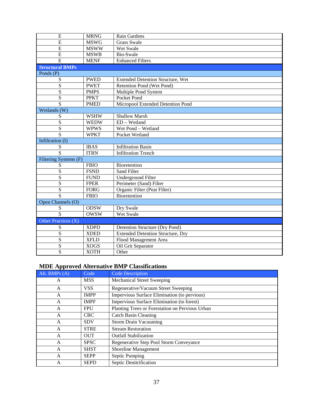| E                       | <b>MRNG</b> | Rain Gardens                             |
|-------------------------|-------------|------------------------------------------|
| E                       | <b>MSWG</b> | <b>Grass Swale</b>                       |
| E                       | <b>MSWW</b> | Wet Swale                                |
| $\overline{E}$          | <b>MSWB</b> | Bio-Swale                                |
| E                       | <b>MENF</b> | <b>Enhanced Filters</b>                  |
| <b>Structural BMPs</b>  |             |                                          |
| Ponds (P)               |             |                                          |
| S                       | <b>PWED</b> | <b>Extended Detention Structure, Wet</b> |
| S                       | <b>PWET</b> | Retention Pond (Wet Pond)                |
| $\overline{\mathbf{S}}$ | <b>PMPS</b> | Multiple Pond System                     |
| $\overline{\mathbf{S}}$ | <b>PPKT</b> | Pocket Pond                              |
| $\overline{S}$          | <b>PMED</b> | Micropool Extended Detention Pond        |
| Wetlands (W)            |             |                                          |
| S                       | <b>WSHW</b> | <b>Shallow Marsh</b>                     |
| ${\bf S}$               | <b>WEDW</b> | $ED - Wetland$                           |
| $\overline{S}$          | <b>WPWS</b> | Wet Pond - Wetland                       |
| $\overline{S}$          | <b>WPKT</b> | Pocket Wetland                           |
| Infiltration (I)        |             |                                          |
| S                       | <b>IBAS</b> | <b>Infiltration Basin</b>                |
| S                       | <b>ITRN</b> | <b>Infiltration Trench</b>               |
| Filtering Systems (F)   |             |                                          |
| S                       | <b>FBIO</b> | Bioretention                             |
| S                       | <b>FSND</b> | Sand Filter                              |
| S                       | <b>FUND</b> | <b>Underground Filter</b>                |
| S                       | <b>FPER</b> | Perimeter (Sand) Filter                  |
| $\overline{S}$          | <b>FORG</b> | Organic Filter (Peat Filter)             |
| $\overline{S}$          | <b>FBIO</b> | Bioretention                             |
| Open Channels (O)       |             |                                          |
| S                       | <b>ODSW</b> | Dry Swale                                |
| $\overline{S}$          | <b>OWSW</b> | Wet Swale                                |
| Other Practices (X)     |             |                                          |
| S                       | <b>XDPD</b> | Detention Structure (Dry Pond)           |
| S                       | <b>XDED</b> | <b>Extended Detention Structure, Dry</b> |
| S                       | <b>XFLD</b> | Flood Management Area                    |
| S                       | <b>XOGS</b> | Oil Grit Separator                       |
| $\overline{\mathbf{S}}$ | <b>XOTH</b> | Other                                    |

# **MDE Approved Alternative BMP Classifications**

| Alt. BMPs (A) | Code        | <b>Code Description</b>                         |
|---------------|-------------|-------------------------------------------------|
| A             | <b>MSS</b>  | <b>Mechanical Street Sweeping</b>               |
| A             | <b>VSS</b>  | Regenerative/Vacuum Street Sweeping             |
| A             | <b>IMPP</b> | Impervious Surface Elimination (to pervious)    |
| A             | <b>IMPF</b> | Impervious Surface Elimination (to forest)      |
| A             | FPU         | Planting Trees or Forestation on Pervious Urban |
| A             | CBC.        | Catch Basin Cleaning                            |
| A             | <b>SDV</b>  | <b>Storm Drain Vacuuming</b>                    |
| A             | <b>STRE</b> | <b>Stream Restoration</b>                       |
| A             | <b>OUT</b>  | <b>Outfall Stabilization</b>                    |
| A             | <b>SPSC</b> | Regenerative Step Pool Storm Conveyance         |
| A             | <b>SHST</b> | Shoreline Management                            |
| A             | <b>SEPP</b> | Septic Pumping                                  |
| A             | <b>SEPD</b> | Septic Denitrification                          |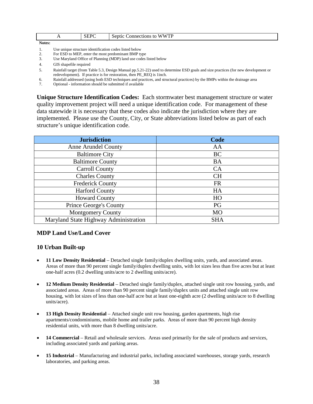| $\overline{1}$ | CEDC<br>ъ<br>பப<br>╰ | <b>VWTP</b><br>$^{\prime}$ W<br>onnections<br>sentic<br>to<br>W<br>-11<br>$ -$<br>. |
|----------------|----------------------|-------------------------------------------------------------------------------------|
| Notes:         |                      |                                                                                     |

- 1. Use unique structure identification codes listed below<br>2. For ESD to MEP, enter the most predominant BMP ty
- 2. For ESD to MEP, enter the most predominant BMP type<br>3. Use Maryland Office of Planning (MDP) land use codes
- Use Maryland Office of Planning (MDP) land use codes listed below
- 4. GIS shapefile required
- 5. Rainfall target (from Table 5.3, Design Manual pp.5.21-22) used to determine ESD goals and size practices (for new development or redevelopment). If practice is for restoration, then PE\_REQ is 1inch.
- 6. Rainfall addressed (using both ESD techniques and practices, and structural practices) by the BMPs within the drainage area

7. Optional - information should be submitted if available

**Unique Structure Identification Codes:** Each stormwater best management structure or water quality improvement project will need a unique identification code. For management of these data statewide it is necessary that these codes also indicate the jurisdiction where they are implemented. Please use the County, City, or State abbreviations listed below as part of each structure's unique identification code.

| <b>Jurisdiction</b>                   | Code       |
|---------------------------------------|------------|
| <b>Anne Arundel County</b>            | AA         |
| <b>Baltimore City</b>                 | <b>BC</b>  |
| <b>Baltimore County</b>               | <b>BA</b>  |
| Carroll County                        | <b>CA</b>  |
| <b>Charles County</b>                 | <b>CH</b>  |
| Frederick County                      | <b>FR</b>  |
| <b>Harford County</b>                 | HA         |
| <b>Howard County</b>                  | HO         |
| <b>Prince George's County</b>         | PG         |
| <b>Montgomery County</b>              | <b>MO</b>  |
| Maryland State Highway Administration | <b>SHA</b> |

#### **MDP Land Use/Land Cover**

#### **10 Urban Built-up**

- **11 Low Density Residential** Detached single family/duplex dwelling units, yards, and associated areas. Areas of more than 90 percent single family/duplex dwelling units, with lot sizes less than five acres but at least one-half acres (0.2 dwelling units/acre to 2 dwelling units/acre).
- **12 Medium Density Residential** Detached single family/duplex, attached single unit row housing, yards, and associated areas. Areas of more than 90 percent single family/duplex units and attached single unit row housing, with lot sizes of less than one-half acre but at least one-eighth acre (2 dwelling units/acre to 8 dwelling units/acre).
- **13 High Density Residential** Attached single unit row housing, garden apartments, high rise apartments/condominiums, mobile home and trailer parks. Areas of more than 90 percent high density residential units, with more than 8 dwelling units/acre.
- **14 Commercial** Retail and wholesale services. Areas used primarily for the sale of products and services, including associated yards and parking areas.
- **15 Industrial** Manufacturing and industrial parks, including associated warehouses, storage yards, research laboratories, and parking areas.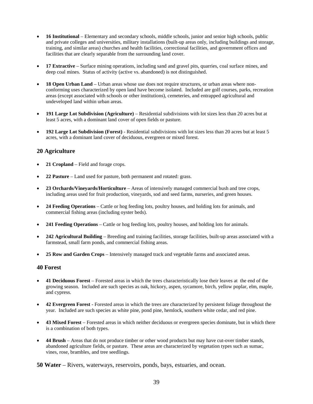- **16 Institutional** Elementary and secondary schools, middle schools, junior and senior high schools, public and private colleges and universities, military installations (built-up areas only, including buildings and storage, training, and similar areas) churches and health facilities, correctional facilities, and government offices and facilities that are clearly separable from the surrounding land cover.
- **17 Extractive** Surface mining operations, including sand and gravel pits, quarries, coal surface mines, and deep coal mines. Status of activity (active vs. abandoned) is not distinguished.
- **18 Open Urban Land** Urban areas whose use does not require structures, or urban areas where nonconforming uses characterized by open land have become isolated. Included are golf courses, parks, recreation areas (except associated with schools or other institutions), cemeteries, and entrapped agricultural and undeveloped land within urban areas.
- **191 Large Lot Subdivision (Agriculture)** Residential subdivisions with lot sizes less than 20 acres but at least 5 acres, with a dominant land cover of open fields or pasture.
- **192 Large Lot Subdivision (Forest)**  Residential subdivisions with lot sizes less than 20 acres but at least 5 acres, with a dominant land cover of deciduous, evergreen or mixed forest.

#### **20 Agriculture**

- **21 Cropland** Field and forage crops.
- **22 Pasture** Land used for pasture, both permanent and rotated: grass.
- **23 Orchards/Vineyards/Horticulture** Areas of intensively managed commercial bush and tree crops, including areas used for fruit production, vineyards, sod and seed farms, nurseries, and green houses.
- **24 Feeding Operations** Cattle or hog feeding lots, poultry houses, and holding lots for animals, and commercial fishing areas (including oyster beds).
- **241 Feeding Operations**  Cattle or hog feeding lots, poultry houses, and holding lots for animals.
- **242 Agricultural Building** Breeding and training facilities, storage facilities, built-up areas associated with a farmstead, small farm ponds, and commercial fishing areas.
- **25 Row and Garden Crops** Intensively managed track and vegetable farms and associated areas.

#### **40 Forest**

- **41 Deciduous Forest** Forested areas in which the trees characteristically lose their leaves at the end of the growing season. Included are such species as oak, hickory, aspen, sycamore, birch, yellow poplar, elm, maple, and cypress.
- **42 Evergreen Forest**  Forested areas in which the trees are characterized by persistent foliage throughout the year. Included are such species as white pine, pond pine, hemlock, southern white cedar, and red pine.
- **43 Mixed Forest** Forested areas in which neither deciduous or evergreen species dominate, but in which there is a combination of both types.
- **44 Brush** Areas that do not produce timber or other wood products but may have cut-over timber stands, abandoned agriculture fields, or pasture. These areas are characterized by vegetation types such as sumac, vines, rose, brambles, and tree seedlings.

**50 Water** – Rivers, waterways, reservoirs, ponds, bays, estuaries, and ocean.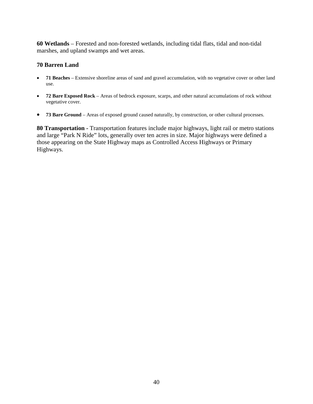**60 Wetlands** – Forested and non-forested wetlands, including tidal flats, tidal and non-tidal marshes, and upland swamps and wet areas.

#### **70 Barren Land**

- **71 Beaches** Extensive shoreline areas of sand and gravel accumulation, with no vegetative cover or other land use.
- **72 Bare Exposed Rock** Areas of bedrock exposure, scarps, and other natural accumulations of rock without vegetative cover.
- **73 Bare Ground** Areas of exposed ground caused naturally, by construction, or other cultural processes.

**80 Transportation -** Transportation features include major highways, light rail or metro stations and large "Park N Ride" lots, generally over ten acres in size. Major highways were defined a those appearing on the State Highway maps as Controlled Access Highways or Primary Highways.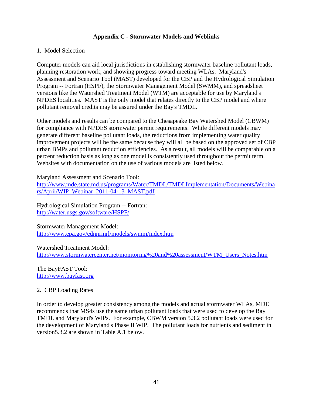#### **Appendix C - Stormwater Models and Weblinks**

#### <span id="page-43-0"></span>1. Model Selection

Computer models can aid local jurisdictions in establishing stormwater baseline pollutant loads, planning restoration work, and showing progress toward meeting WLAs. Maryland's Assessment and Scenario Tool (MAST) developed for the CBP and the Hydrological Simulation Program -- Fortran (HSPF), the Stormwater Management Model (SWMM), and spreadsheet versions like the Watershed Treatment Model (WTM) are acceptable for use by Maryland's NPDES localities. MAST is the only model that relates directly to the CBP model and where pollutant removal credits may be assured under the Bay's TMDL.

Other models and results can be compared to the Chesapeake Bay Watershed Model (CBWM) for compliance with NPDES stormwater permit requirements. While different models may generate different baseline pollutant loads, the reductions from implementing water quality improvement projects will be the same because they will all be based on the approved set of CBP urban BMPs and pollutant reduction efficiencies. As a result, all models will be comparable on a percent reduction basis as long as one model is consistently used throughout the permit term. Websites with documentation on the use of various models are listed below.

Maryland Assessment and Scenario Tool:

http://www.mde.state.md.us/programs/Water/TMDL/TMDLImplementation/Documents/Webina rs/April/WIP\_Webinar\_2011-04-13\_MAST.pdf

Hydrological Simulation Program -- Fortran: http://water.usgs.gov/software/HSPF/

Stormwater Management Model: http://www.epa.gov/ednnrmrl/models/swmm/index.htm

Watershed Treatment Model: [http://www.stormwatercenter.net/monitoring%20and%20assessment/WTM\\_Users\\_Notes.htm](http://www.stormwatercenter.net/monitoring%20and%20assessment/WTM_Users_Notes.htm)

The BayFAST Tool: [http://www.bayfast.org](http://www.bayfast.org/)

#### 2. CBP Loading Rates

In order to develop greater consistency among the models and actual stormwater WLAs, MDE recommends that MS4s use the same urban pollutant loads that were used to develop the Bay TMDL and Maryland's WIPs. For example, CBWM version 5.3.2 pollutant loads were used for the development of Maryland's Phase II WIP. The pollutant loads for nutrients and sediment in version5.3.2 are shown in Table A.1 below.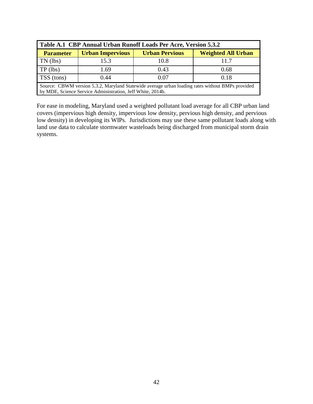| Table A.1 CBP Annual Urban Runoff Loads Per Acre, Version 5.3.2 |                                                                               |      |                                                                                                  |  |  |  |
|-----------------------------------------------------------------|-------------------------------------------------------------------------------|------|--------------------------------------------------------------------------------------------------|--|--|--|
| <b>Parameter</b>                                                | <b>Weighted All Urban</b><br><b>Urban Impervious</b><br><b>Urban Pervious</b> |      |                                                                                                  |  |  |  |
| TN (lbs)                                                        | 15.3                                                                          | 10.8 | 11.7                                                                                             |  |  |  |
| $TP$ (lbs)                                                      | 1.69                                                                          | 0.43 | 0.68                                                                                             |  |  |  |
| TSS (tons)                                                      | 0.44                                                                          | 0.07 | 0.18                                                                                             |  |  |  |
|                                                                 | by MDE, Science Service Administration, Jeff White, 2014b.                    |      | Source: CBWM version 5.3.2, Maryland Statewide average urban loading rates without BMPs provided |  |  |  |

For ease in modeling, Maryland used a weighted pollutant load average for all CBP urban land covers (impervious high density, impervious low density, pervious high density, and pervious low density) in developing its WIPs. Jurisdictions may use these same pollutant loads along with land use data to calculate stormwater wasteloads being discharged from municipal storm drain systems.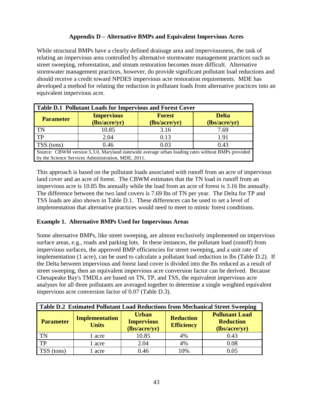# **Appendix D – Alternative BMPs and Equivalent Impervious Acres**

<span id="page-45-0"></span>While structural BMPs have a clearly defined drainage area and imperviousness, the task of relating an impervious area controlled by alternative stormwater management practices such as street sweeping, reforestation, and stream restoration becomes more difficult. Alternative stormwater management practices, however, do provide significant pollutant load reductions and should receive a credit toward NPDES impervious acre restoration requirements. MDE has developed a method for relating the reduction in pollutant loads from alternative practices into an equivalent impervious acre.

| <b>Table D.1 Pollutant Loads for Impervious and Forest Cover</b>                                                                                       |                                    |                                |                               |  |  |
|--------------------------------------------------------------------------------------------------------------------------------------------------------|------------------------------------|--------------------------------|-------------------------------|--|--|
| <b>Parameter</b>                                                                                                                                       | <b>Impervious</b><br>(lbs/acre/yr) | <b>Forest</b><br>(lbs/acre/yr) | <b>Delta</b><br>(lbs/acre/yr) |  |  |
| TN                                                                                                                                                     | 10.85                              | 3.16                           | 7.69                          |  |  |
| TP                                                                                                                                                     | 2.04                               | 0.13                           | 1.91                          |  |  |
| TSS (tons)                                                                                                                                             | 0.46                               | 0.03                           | 0.43                          |  |  |
| Source: CBWM version 5.3.0, Maryland statewide average urban loading rates without BMPs provided<br>by the Science Services Administration, MDE, 2011. |                                    |                                |                               |  |  |

This approach is based on the pollutant loads associated with runoff from an acre of impervious land cover and an acre of forest. The CBWM estimates that the TN load in runoff from an impervious acre is 10.85 lbs annually while the load from an acre of forest is 3.16 lbs annually. The difference between the two land covers is 7.69 lbs of TN per year. The Delta for TP and TSS loads are also shown in Table D.1. These differences can be used to set a level of implementation that alternative practices would need to meet to mimic forest conditions.

#### **Example 1. Alternative BMPs Used for Impervious Areas**

Some alternative BMPs, like street sweeping, are almost exclusively implemented on impervious surface areas, e.g., roads and parking lots. In these instances, the pollutant load (runoff) from impervious surfaces, the approved BMP efficiencies for street sweeping, and a unit rate of implementation (1 acre), can be used to calculate a pollutant load reduction in lbs (Table D.2). If the Delta between impervious and forest land cover is divided into the lbs reduced as a result of street sweeping, then an equivalent impervious acre conversion factor can be derived. Because Chesapeake Bay's TMDLs are based on TN, TP, and TSS, the equivalent impervious acre analyses for all three pollutants are averaged together to determine a single weighted equivalent impervious acre conversion factor of 0.07 (Table D.3).

| Table D.2 Estimated Pollutant Load Reductions from Mechanical Street Sweeping |                                       |                                                    |                                       |                                                            |  |  |
|-------------------------------------------------------------------------------|---------------------------------------|----------------------------------------------------|---------------------------------------|------------------------------------------------------------|--|--|
| <b>Parameter</b>                                                              | <b>Implementation</b><br><b>Units</b> | <b>Urban</b><br><b>Impervious</b><br>(lbs/acre/yr) | <b>Reduction</b><br><b>Efficiency</b> | <b>Pollutant Load</b><br><b>Reduction</b><br>(lbs/acre/yr) |  |  |
| <b>TN</b>                                                                     | 1 acre                                | 10.85                                              | 4%                                    | 0.43                                                       |  |  |
| TP                                                                            | 1 acre                                | 2.04                                               | 4%                                    | 0.08                                                       |  |  |
| (tons)                                                                        | l acre                                | 0.46                                               | 10%                                   | 0.05                                                       |  |  |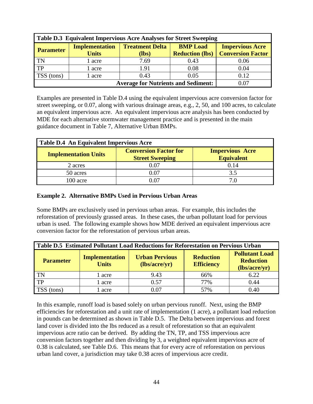| Table D.3 Equivalent Impervious Acre Analyses for Street Sweeping |                                       |                                 |                                           |                                                    |  |
|-------------------------------------------------------------------|---------------------------------------|---------------------------------|-------------------------------------------|----------------------------------------------------|--|
| <b>Parameter</b>                                                  | <b>Implementation</b><br><b>Units</b> | <b>Treatment Delta</b><br>(lbs) | <b>BMP</b> Load<br><b>Reduction (lbs)</b> | <b>Impervious Acre</b><br><b>Conversion Factor</b> |  |
| <b>TN</b>                                                         | 1 acre                                | 7.69                            | 0.43                                      | 0.06                                               |  |
| TP                                                                | l acre                                | 1.91                            | 0.08                                      | 0.04                                               |  |
| TSS (tons)                                                        | l acre                                | 0.43                            | 0.05                                      | 0.12                                               |  |
|                                                                   | 0.07                                  |                                 |                                           |                                                    |  |

Examples are presented in Table D.4 using the equivalent impervious acre conversion factor for street sweeping, or 0.07, along with various drainage areas, e.g., 2, 50, and 100 acres, to calculate an equivalent impervious acre. An equivalent impervious acre analysis has been conducted by MDE for each alternative stormwater management practice and is presented in the main guidance document in Table 7, Alternative Urban BMPs.

| Table D.4 An Equivalent Impervious Acre                                                                                              |          |      |  |  |  |
|--------------------------------------------------------------------------------------------------------------------------------------|----------|------|--|--|--|
| <b>Conversion Factor for</b><br><b>Impervious Acre</b><br><b>Implementation Units</b><br><b>Equivalent</b><br><b>Street Sweeping</b> |          |      |  |  |  |
| 2 acres                                                                                                                              | $0.07\,$ | 0.14 |  |  |  |
| 50 acres                                                                                                                             | 0.07     | 3.5  |  |  |  |
| 100 acre                                                                                                                             |          |      |  |  |  |

#### **Example 2. Alternative BMPs Used in Pervious Urban Areas**

Some BMPs are exclusively used in pervious urban areas. For example, this includes the reforestation of previously grassed areas. In these cases, the urban pollutant load for pervious urban is used. The following example shows how MDE derived an equivalent impervious acre conversion factor for the reforestation of pervious urban areas.

| Table D.5 Estimated Pollutant Load Reductions for Reforestation on Pervious Urban |                                       |                                        |                                                                |      |  |  |
|-----------------------------------------------------------------------------------|---------------------------------------|----------------------------------------|----------------------------------------------------------------|------|--|--|
| <b>Parameter</b>                                                                  | <b>Implementation</b><br><b>Units</b> | <b>Urban Pervious</b><br>(lbs/acre/yr) | <b>Pollutant Load</b><br><b>Reduction</b><br><b>Efficiency</b> |      |  |  |
| <b>TN</b>                                                                         | l acre                                | 9.43                                   | 66%                                                            | 6.22 |  |  |
| TP                                                                                | acre                                  | 0.57                                   | 77%                                                            | 0.44 |  |  |
| TSS (tons)                                                                        | acre                                  | 0.07                                   | 57%                                                            | 0.40 |  |  |

In this example, runoff load is based solely on urban pervious runoff. Next, using the BMP efficiencies for reforestation and a unit rate of implementation (1 acre), a pollutant load reduction in pounds can be determined as shown in Table D.5. The Delta between impervious and forest land cover is divided into the lbs reduced as a result of reforestation so that an equivalent impervious acre ratio can be derived. By adding the TN, TP, and TSS impervious acre conversion factors together and then dividing by 3, a weighted equivalent impervious acre of 0.38 is calculated, see Table D.6. This means that for every acre of reforestation on pervious urban land cover, a jurisdiction may take 0.38 acres of impervious acre credit.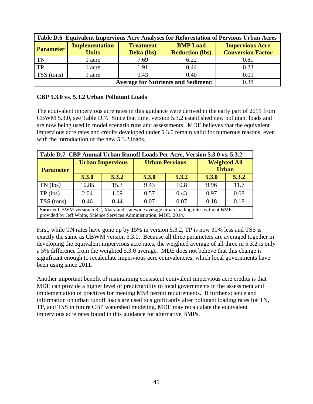| Table D.6 Equivalent Impervious Acre Analyses for Reforestation of Pervious Urban Acres |                                            |                                        |                                           |                                                    |  |
|-----------------------------------------------------------------------------------------|--------------------------------------------|----------------------------------------|-------------------------------------------|----------------------------------------------------|--|
| <b>Parameter</b>                                                                        | <b>Implementation</b><br><b>Units</b>      | <b>Treatment</b><br><b>Delta</b> (lbs) | <b>BMP</b> Load<br><b>Reduction (lbs)</b> | <b>Impervious Acre</b><br><b>Conversion Factor</b> |  |
| $\overline{\text{TN}}$                                                                  | 1 acre                                     | 7.69                                   | 6.22                                      | 0.81                                               |  |
| $\Gamma$                                                                                | 1 acre                                     | 1.91                                   | 0.44                                      | 0.23                                               |  |
| TSS (tons)                                                                              | 1 acre                                     | 0.43                                   | 0.40                                      | 0.09                                               |  |
|                                                                                         | <b>Average for Nutrients and Sediment:</b> | 0.38                                   |                                           |                                                    |  |

#### **CBP 5.3.0 vs. 5.3.2 Urban Pollutant Loads**

The equivalent impervious acre rates in this guidance were derived in the early part of 2011 from CBWM 5.3.0, see Table D.7. Since that time, version 5.3.2 established new pollutant loads and are now being used in model scenario runs and assessments. MDE believes that the equivalent impervious acre rates and credits developed under 5.3.0 remain valid for numerous reasons, even with the introduction of the new 5.3.2 loads.

| Table D.7 CBP Annual Urban Runoff Loads Per Acre, Version 5.3.0 vs. 5.3.2                                                                                             |       |                         |                                                              |       |       |       |
|-----------------------------------------------------------------------------------------------------------------------------------------------------------------------|-------|-------------------------|--------------------------------------------------------------|-------|-------|-------|
| <b>Parameter</b>                                                                                                                                                      |       | <b>Urban Impervious</b> | <b>Weighted All</b><br><b>Urban Pervious</b><br><b>Urban</b> |       |       |       |
|                                                                                                                                                                       | 5.3.0 | 5.3.2                   | 5.3.0                                                        | 5.3.2 | 5.3.0 | 5.3.2 |
| $TN$ (lbs)                                                                                                                                                            | 10.85 | 15.3                    | 9.43                                                         | 10.8  | 9.96  | 11.7  |
| $TP$ (lbs)                                                                                                                                                            | 2.04  | 1.69                    | 0.57                                                         | 0.43  | 0.97  | 0.68  |
| TSS (tons)                                                                                                                                                            | 0.46  | 0.44                    | 0.07                                                         | 0.07  | 0.18  | 0.18  |
| <b>Source:</b> CBWM version 5.3.2, Maryland statewide average urban loading rates without BMPs<br>provided by Jeff White, Science Services Administration, MDE, 2014. |       |                         |                                                              |       |       |       |

First, while TN rates have gone up by 15% in version 5.3.2, TP is now 30% less and TSS is exactly the same as CBWM version 5.3.0. Because all three parameters are averaged together in developing the equivalent impervious acre rates, the weighted average of all three in 5.3.2 is only a 5% difference from the weighted 5.3.0 average. MDE does not believe that this change is significant enough to recalculate impervious acre equivalencies, which local governments have been using since 2011.

Another important benefit of maintaining consistent equivalent impervious acre credits is that MDE can provide a higher level of predictability to local governments in the assessment and implementation of practices for meeting MS4 permit requirements. If further science and information on urban runoff loads are used to significantly alter pollutant loading rates for TN, TP, and TSS in future CBP watershed modeling, MDE may recalculate the equivalent impervious acre rates found in this guidance for alternative BMPs.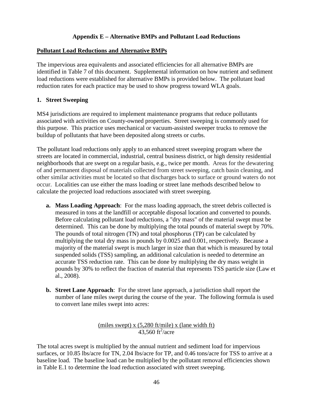# **Appendix E – Alternative BMPs and Pollutant Load Reductions**

#### <span id="page-48-0"></span>**Pollutant Load Reductions and Alternative BMPs**

The impervious area equivalents and associated efficiencies for all alternative BMPs are identified in Table 7 of this document. Supplemental information on how nutrient and sediment load reductions were established for alternative BMPs is provided below. The pollutant load reduction rates for each practice may be used to show progress toward WLA goals.

#### **1. Street Sweeping**

MS4 jurisdictions are required to implement maintenance programs that reduce pollutants associated with activities on County-owned properties. Street sweeping is commonly used for this purpose. This practice uses mechanical or vacuum-assisted sweeper trucks to remove the buildup of pollutants that have been deposited along streets or curbs.

The pollutant load reductions only apply to an enhanced street sweeping program where the streets are located in commercial, industrial, central business district, or high density residential neighborhoods that are swept on a regular basis, e.g., twice per month. Areas for the dewatering of and permanent disposal of materials collected from street sweeping, catch basin cleaning, and other similar activities must be located so that discharges back to surface or ground waters do not occur. Localities can use either the mass loading or street lane methods described below to calculate the projected load reductions associated with street sweeping.

- **a. Mass Loading Approach**: For the mass loading approach, the street debris collected is measured in tons at the landfill or acceptable disposal location and converted to pounds. Before calculating pollutant load reductions, a "dry mass" of the material swept must be determined. This can be done by multiplying the total pounds of material swept by 70%. The pounds of total nitrogen (TN) and total phosphorus (TP) can be calculated by multiplying the total dry mass in pounds by 0.0025 and 0.001, respectively. Because a majority of the material swept is much larger in size than that which is measured by total suspended solids (TSS) sampling, an additional calculation is needed to determine an accurate TSS reduction rate. This can be done by multiplying the dry mass weight in pounds by 30% to reflect the fraction of material that represents TSS particle size (Law et al., 2008).
- **b. Street Lane Approach**:For the street lane approach, a jurisdiction shall report the number of lane miles swept during the course of the year. The following formula is used to convert lane miles swept into acres:

# (miles swept) x (5,280 ft/mile) x (lane width ft)  $43,560$  ft<sup>2</sup>/acre

The total acres swept is multiplied by the annual nutrient and sediment load for impervious surfaces, or 10.85 lbs/acre for TN, 2.04 lbs/acre for TP, and 0.46 tons/acre for TSS to arrive at a baseline load. The baseline load can be multiplied by the pollutant removal efficiencies shown in Table E.1 to determine the load reduction associated with street sweeping.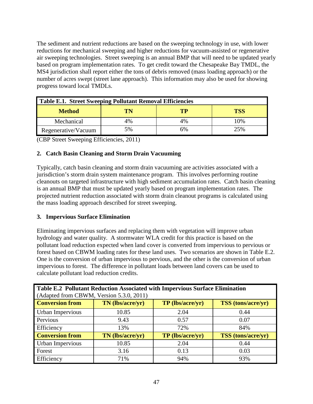The sediment and nutrient reductions are based on the sweeping technology in use, with lower reductions for mechanical sweeping and higher reductions for vacuum-assisted or regenerative air sweeping technologies. Street sweeping is an annual BMP that will need to be updated yearly based on program implementation rates. To get credit toward the Chesapeake Bay TMDL, the MS4 jurisdiction shall report either the tons of debris removed (mass loading approach) or the number of acres swept (street lane approach). This information may also be used for showing progress toward local TMDLs.

| Table E.1. Street Sweeping Pollutant Removal Efficiencies |    |    |     |  |
|-----------------------------------------------------------|----|----|-----|--|
| TР<br>TN<br>TSS<br><b>Method</b>                          |    |    |     |  |
| Mechanical                                                | 4% | 4% | 10% |  |
| Regenerative/Vacuum                                       | 5% | 6% | 25% |  |

(CBP Street Sweeping Efficiencies, 2011)

# **2. Catch Basin Cleaning and Storm Drain Vacuuming**

Typically, catch basin cleaning and storm drain vacuuming are activities associated with a jurisdiction's storm drain system maintenance program. This involves performing routine cleanouts on targeted infrastructure with high sediment accumulation rates. Catch basin cleaning is an annual BMP that must be updated yearly based on program implementation rates. The projected nutrient reduction associated with storm drain cleanout programs is calculated using the mass loading approach described for street sweeping.

#### **3. Impervious Surface Elimination**

Eliminating impervious surfaces and replacing them with vegetation will improve urban hydrology and water quality. A stormwater WLA credit for this practice is based on the pollutant load reduction expected when land cover is converted from impervious to pervious or forest based on CBWM loading rates for these land uses. Two scenarios are shown in Table E.2. One is the conversion of urban impervious to pervious, and the other is the conversion of urban impervious to forest. The difference in pollutant loads between land covers can be used to calculate pollutant load reduction credits.

| Table E.2 Pollutant Reduction Associated with Impervious Surface Elimination<br>(Adapted from CBWM, Version 5.3.0, 2011) |                  |                         |                           |  |
|--------------------------------------------------------------------------------------------------------------------------|------------------|-------------------------|---------------------------|--|
| <b>Conversion from</b>                                                                                                   | TN (lbs/acre/yr) | <b>TP</b> (lbs/acre/yr) | <b>TSS</b> (tons/acre/yr) |  |
| Urban Impervious                                                                                                         | 10.85            | 2.04                    | 0.44                      |  |
| Pervious                                                                                                                 | 9.43             | 0.57                    | 0.07                      |  |
| Efficiency                                                                                                               | 13%              | 72%                     | 84%                       |  |
| <b>Conversion from</b>                                                                                                   | TN (lbs/acre/yr) | TP (lbs/acre/yr)        | <b>TSS</b> (tons/acre/yr) |  |
| Urban Impervious                                                                                                         | 10.85            | 2.04                    | 0.44                      |  |
| Forest                                                                                                                   | 3.16             | 0.13                    | 0.03                      |  |
| Efficiency                                                                                                               | 71%              | 94%                     | 93%                       |  |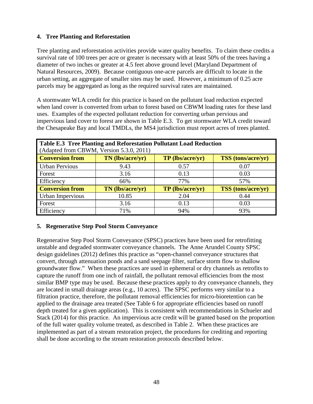# **4. Tree Planting and Reforestation**

Tree planting and reforestation activities provide water quality benefits. To claim these credits a survival rate of 100 trees per acre or greater is necessary with at least 50% of the trees having a diameter of two inches or greater at 4.5 feet above ground level (Maryland Department of Natural Resources, 2009). Because contiguous one-acre parcels are difficult to locate in the urban setting, an aggregate of smaller sites may be used. However, a minimum of 0.25 acre parcels may be aggregated as long as the required survival rates are maintained.

A stormwater WLA credit for this practice is based on the pollutant load reduction expected when land cover is converted from urban to forest based on CBWM loading rates for these land uses. Examples of the expected pollutant reduction for converting urban pervious and impervious land cover to forest are shown in Table E.3. To get stormwater WLA credit toward the Chesapeake Bay and local TMDLs, the MS4 jurisdiction must report acres of trees planted.

| Table E.3 Tree Planting and Reforestation Pollutant Load Reduction<br>(Adapted from CBWM, Version 5.3.0, 2011) |                  |                         |                           |  |
|----------------------------------------------------------------------------------------------------------------|------------------|-------------------------|---------------------------|--|
| <b>Conversion from</b>                                                                                         | TN (lbs/acre/yr) | <b>TP</b> (lbs/acre/yr) | <b>TSS</b> (tons/acre/yr) |  |
| <b>Urban Pervious</b>                                                                                          | 9.43             | 0.57                    | 0.07                      |  |
| Forest                                                                                                         | 3.16             | 0.13                    | 0.03                      |  |
| Efficiency                                                                                                     | 66%              | 77%                     | 57%                       |  |
| <b>Conversion from</b>                                                                                         | TN (lbs/acre/yr) | <b>TP</b> (lbs/acre/yr) | <b>TSS</b> (tons/acre/yr) |  |
| Urban Impervious                                                                                               | 10.85            | 2.04                    | 0.44                      |  |
| Forest                                                                                                         | 3.16             | 0.13                    | 0.03                      |  |
| Efficiency                                                                                                     | 71%              | 94%                     | 93%                       |  |

#### **5. Regenerative Step Pool Storm Conveyance**

Regenerative Step Pool Storm Conveyance (SPSC) practices have been used for retrofitting unstable and degraded stormwater conveyance channels. The Anne Arundel County SPSC design guidelines (2012) defines this practice as "open-channel conveyance structures that convert, through attenuation ponds and a sand seepage filter, surface storm flow to shallow groundwater flow." When these practices are used in ephemeral or dry channels as retrofits to capture the runoff from one inch of rainfall, the pollutant removal efficiencies from the most similar BMP type may be used. Because these practices apply to dry conveyance channels, they are located in small drainage areas (e.g., 10 acres). The SPSC performs very similar to a filtration practice, therefore, the pollutant removal efficiencies for micro-bioretention can be applied to the drainage area treated (See Table 6 for appropriate efficiencies based on runoff depth treated for a given application). This is consistent with recommendations in Schueler and Stack (2014) for this practice. An impervious acre credit will be granted based on the proportion of the full water quality volume treated, as described in Table 2. When these practices are implemented as part of a stream restoration project, the procedures for crediting and reporting shall be done according to the stream restoration protocols described below.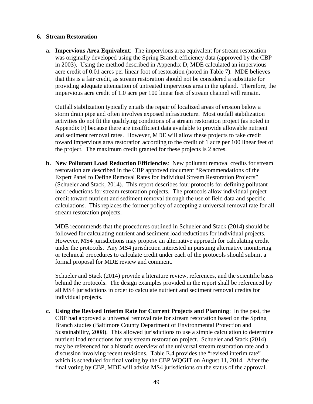#### **6. Stream Restoration**

**a. Impervious Area Equivalent**: The impervious area equivalent for stream restoration was originally developed using the Spring Branch efficiency data (approved by the CBP in 2003). Using the method described in Appendix D, MDE calculated an impervious acre credit of 0.01 acres per linear foot of restoration (noted in Table 7). MDE believes that this is a fair credit, as stream restoration should not be considered a substitute for providing adequate attenuation of untreated impervious area in the upland. Therefore, the impervious acre credit of 1.0 acre per 100 linear feet of stream channel will remain.

Outfall stabilization typically entails the repair of localized areas of erosion below a storm drain pipe and often involves exposed infrastructure. Most outfall stabilization activities do not fit the qualifying conditions of a stream restoration project (as noted in Appendix F) because there are insufficient data available to provide allowable nutrient and sediment removal rates. However, MDE will allow these projects to take credit toward impervious area restoration according to the credit of 1 acre per 100 linear feet of the project. The maximum credit granted for these projects is 2 acres.

**b. New Pollutant Load Reduction Efficiencies**: New pollutant removal credits for stream restoration are described in the CBP approved document "Recommendations of the Expert Panel to Define Removal Rates for Individual Stream Restoration Projects" (Schueler and Stack, 2014). This report describes four protocols for defining pollutant load reductions for stream restoration projects. The protocols allow individual project credit toward nutrient and sediment removal through the use of field data and specific calculations. This replaces the former policy of accepting a universal removal rate for all stream restoration projects.

MDE recommends that the procedures outlined in Schueler and Stack (2014) should be followed for calculating nutrient and sediment load reductions for individual projects. However, MS4 jurisdictions may propose an alternative approach for calculating credit under the protocols. Any MS4 jurisdiction interested in pursuing alternative monitoring or technical procedures to calculate credit under each of the protocols should submit a formal proposal for MDE review and comment.

Schueler and Stack (2014) provide a literature review, references, and the scientific basis behind the protocols. The design examples provided in the report shall be referenced by all MS4 jurisdictions in order to calculate nutrient and sediment removal credits for individual projects.

**c. Using the Revised Interim Rate for Current Projects and Planning**: In the past, the CBP had approved a universal removal rate for stream restoration based on the Spring Branch studies (Baltimore County Department of Environmental Protection and Sustainability, 2008). This allowed jurisdictions to use a simple calculation to determine nutrient load reductions for any stream restoration project. Schueler and Stack (2014) may be referenced for a historic overview of the universal stream restoration rate and a discussion involving recent revisions. Table E.4 provides the "revised interim rate" which is scheduled for final voting by the CBP WQGIT on August 11, 2014. After the final voting by CBP, MDE will advise MS4 jurisdictions on the status of the approval.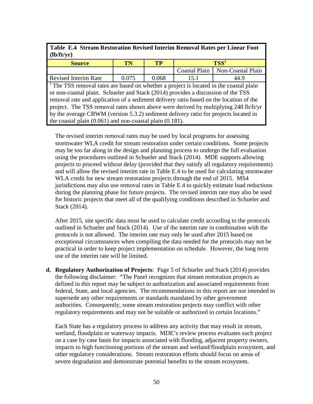|            | Table E.4 Stream Restoration Revised Interim Removal Rates per Linear Foot |
|------------|----------------------------------------------------------------------------|
| (lb/ft/yr) |                                                                            |

| <b>Source</b>                                                                                     | TN    | TP    | TSS <sup>1</sup> |                                   |
|---------------------------------------------------------------------------------------------------|-------|-------|------------------|-----------------------------------|
|                                                                                                   |       |       |                  | Coastal Plain   Non-Coastal Plain |
| <b>Revised Interim Rate</b>                                                                       | 0.075 | 0.068 | 15.1             | 44.9                              |
| <sup>1</sup> The TSS removal rates are based on whether a project is located in the coastal plain |       |       |                  |                                   |

or non-coastal plain. Schueler and Stack (2014) provides a discussion of the TSS removal rate and application of a sediment delivery ratio based on the location of the project. The TSS removal rates shown above were derived by multiplying 248 lb/ft/yr by the average CBWM (version 5.3.2) sediment delivery ratio for projects located in the coastal plain (0.061) and non-coastal plain (0.181).

The revised interim removal rates may be used by local programs for assessing stormwater WLA credit for stream restoration under certain conditions. Some projects may be too far along in the design and planning process to undergo the full evaluation using the procedures outlined in Schueler and Stack (2014). MDE supports allowing projects to proceed without delay (provided that they satisfy all regulatory requirements) and will allow the revised interim rate in Table E.4 to be used for calculating stormwater WLA credit for new stream restoration projects through the end of 2015. MS4 jurisdictions may also use removal rates in Table E.4 to quickly estimate load reductions during the planning phase for future projects. The revised interim rate may also be used for historic projects that meet all of the qualifying conditions described in Schueler and Stack (2014).

After 2015, site specific data must be used to calculate credit according to the protocols outlined in Schueler and Stack (2014). Use of the interim rate in combination with the protocols is not allowed. The interim rate may only be used after 2015 based on exceptional circumstances when compiling the data needed for the protocols may not be practical in order to keep project implementation on schedule. However, the long term use of the interim rate will be limited.

**d. Regulatory Authorization of Projects**: Page 5 of Schueler and Stack (2014) provides the following disclaimer: "The Panel recognizes that stream restoration projects as defined in this report may be subject to authorization and associated requirements from federal, State, and local agencies. The recommendations in this report are not intended to supersede any other requirements or standards mandated by other government authorities. Consequently, some stream restoration projects may conflict with other regulatory requirements and may not be suitable or authorized in certain locations."

Each State has a regulatory process to address any activity that may result in stream, wetland, floodplain or waterway impacts. MDE's review process evaluates each project on a case by case basis for impacts associated with flooding, adjacent property owners, impacts to high functioning portions of the stream and wetland/floodplain ecosystem, and other regulatory considerations. Stream restoration efforts should focus on areas of severe degradation and demonstrate potential benefits to the stream ecosystem.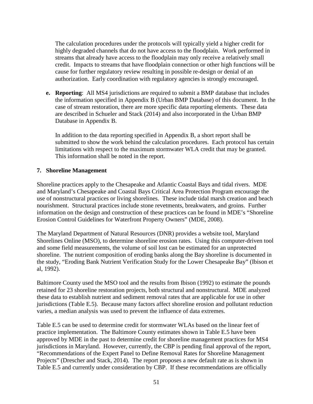The calculation procedures under the protocols will typically yield a higher credit for highly degraded channels that do not have access to the floodplain. Work performed in streams that already have access to the floodplain may only receive a relatively small credit. Impacts to streams that have floodplain connection or other high functions will be cause for further regulatory review resulting in possible re-design or denial of an authorization. Early coordination with regulatory agencies is strongly encouraged.

**e. Reporting**: All MS4 jurisdictions are required to submit a BMP database that includes the information specified in Appendix B (Urban BMP Database) of this document. In the case of stream restoration, there are more specific data reporting elements. These data are described in Schueler and Stack (2014) and also incorporated in the Urban BMP Database in Appendix B.

In addition to the data reporting specified in Appendix B, a short report shall be submitted to show the work behind the calculation procedures. Each protocol has certain limitations with respect to the maximum stormwater WLA credit that may be granted. This information shall be noted in the report.

#### **7. Shoreline Management**

Shoreline practices apply to the Chesapeake and Atlantic Coastal Bays and tidal rivers. MDE and Maryland's Chesapeake and Coastal Bays Critical Area Protection Program encourage the use of nonstructural practices or living shorelines. These include tidal marsh creation and beach nourishment. Structural practices include stone revetments, breakwaters, and groins. Further information on the design and construction of these practices can be found in MDE's "Shoreline Erosion Control Guidelines for Waterfront Property Owners" (MDE, 2008).

The Maryland Department of Natural Resources (DNR) provides a website tool, Maryland Shorelines Online (MSO), to determine shoreline erosion rates. Using this computer-driven tool and some field measurements, the volume of soil lost can be estimated for an unprotected shoreline. The nutrient composition of eroding banks along the Bay shoreline is documented in the study, "Eroding Bank Nutrient Verification Study for the Lower Chesapeake Bay" (Ibison et al, 1992).

Baltimore County used the MSO tool and the results from Ibison (1992) to estimate the pounds retained for 23 shoreline restoration projects, both structural and nonstructural. MDE analyzed these data to establish nutrient and sediment removal rates that are applicable for use in other jurisdictions (Table E.5). Because many factors affect shoreline erosion and pollutant reduction varies, a median analysis was used to prevent the influence of data extremes.

Table E.5 can be used to determine credit for stormwater WLAs based on the linear feet of practice implementation. The Baltimore County estimates shown in Table E.5 have been approved by MDE in the past to determine credit for shoreline management practices for MS4 jurisdictions in Maryland. However, currently, the CBP is pending final approval of the report, "Recommendations of the Expert Panel to Define Removal Rates for Shoreline Management Projects" (Drescher and Stack, 2014). The report proposes a new default rate as is shown in Table E.5 and currently under consideration by CBP. If these recommendations are officially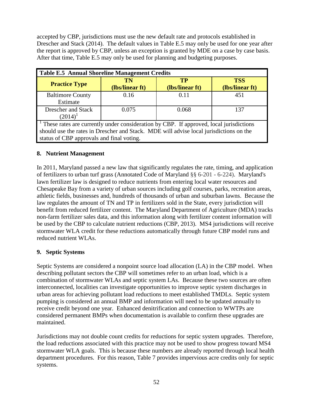accepted by CBP, jurisdictions must use the new default rate and protocols established in Drescher and Stack (2014). The default values in Table E.5 may only be used for one year after the report is approved by CBP, unless an exception is granted by MDE on a case by case basis. After that time, Table E.5 may only be used for planning and budgeting purposes.

| Table E.5 Annual Shoreline Management Credits                                                                                                                                                                                              |                       |                       |                               |  |  |
|--------------------------------------------------------------------------------------------------------------------------------------------------------------------------------------------------------------------------------------------|-----------------------|-----------------------|-------------------------------|--|--|
| <b>Practice Type</b>                                                                                                                                                                                                                       | TN<br>(lbs/linear ft) | TP<br>(lbs/linear ft) | <b>TSS</b><br>(lbs/linear ft) |  |  |
| <b>Baltimore County</b><br>Estimate                                                                                                                                                                                                        | 0.16                  | 0.11                  | 451                           |  |  |
| <b>Drescher and Stack</b><br>$(2014)^1$                                                                                                                                                                                                    | 0.075                 | 0.068                 | 137                           |  |  |
| <sup>1</sup> These rates are currently under consideration by CBP. If approved, local jurisdictions<br>should use the rates in Drescher and Stack. MDE will advise local jurisdictions on the<br>status of CBP approvals and final voting. |                       |                       |                               |  |  |

# **8. Nutrient Management**

In 2011, Maryland passed a new law that significantly regulates the rate, timing, and application of fertilizers to urban turf grass (Annotated Code of Maryland §§ 6-201 - 6-224). Maryland's lawn fertilizer law is designed to reduce nutrients from entering local water resources and Chesapeake Bay from a variety of urban sources including golf courses, parks, recreation areas, athletic fields, businesses and, hundreds of thousands of urban and suburban lawns. Because the law regulates the amount of TN and TP in fertilizers sold in the State, every jurisdiction will benefit from reduced fertilizer content. The Maryland Department of Agriculture (MDA) tracks non-farm fertilizer sales data, and this information along with fertilizer content information will be used by the CBP to calculate nutrient reductions (CBP, 2013). MS4 jurisdictions will receive stormwater WLA credit for these reductions automatically through future CBP model runs and reduced nutrient WLAs.

#### **9. Septic Systems**

Septic Systems are considered a nonpoint source load allocation (LA) in the CBP model. When describing pollutant sectors the CBP will sometimes refer to an urban load, which is a combination of stormwater WLAs and septic system LAs. Because these two sources are often interconnected, localities can investigate opportunities to improve septic system discharges in urban areas for achieving pollutant load reductions to meet established TMDLs. Septic system pumping is considered an annual BMP and information will need to be updated annually to receive credit beyond one year. Enhanced denitrification and connection to WWTPs are considered permanent BMPs when documentation is available to confirm these upgrades are maintained.

Jurisdictions may not double count credits for reductions for septic system upgrades. Therefore, the load reductions associated with this practice may not be used to show progress toward MS4 stormwater WLA goals. This is because these numbers are already reported through local health department procedures. For this reason, Table 7 provides impervious acre credits only for septic systems.